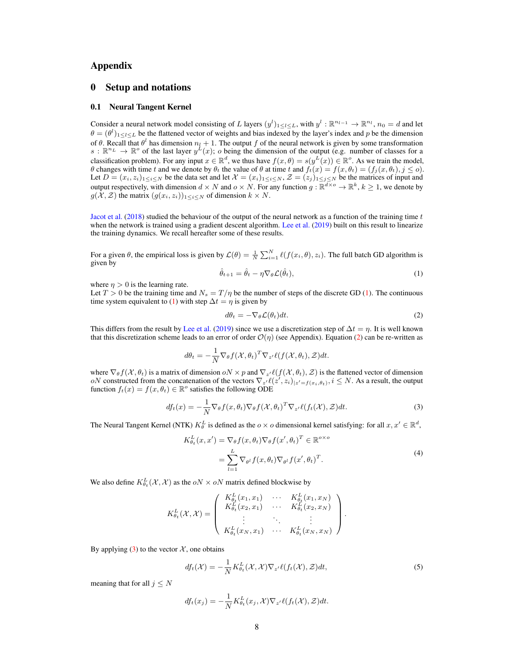# Appendix

# 0 Setup and notations

# 0.1 Neural Tangent Kernel

Consider a neural network model consisting of L layers  $(y^l)_{1 \le l \le L}$ , with  $y^l : \mathbb{R}^{n_l-1} \to \mathbb{R}^{n_l}$ ,  $n_0 = d$  and let  $\theta = (\theta^l)_{1 \leq l \leq L}$  be the flattened vector of weights and bias indexed by the layer's index and p be the dimension of  $\theta$ . Recall that  $\theta^l$  has dimension  $n_l + 1$ . The output f of the neural network is given by some transformation  $s: \mathbb{R}^{n_L} \to \mathbb{R}^o$  of the last layer  $y^L(x)$ ; o being the dimension of the output (e.g. number of classes for a classification problem). For any input  $x \in \mathbb{R}^d$ , we thus have  $f(x, \theta) = s(y^L(x)) \in \mathbb{R}^\circ$ . As we train the model, θ changes with time t and we denote by  $θ_t$  the value of  $θ$  at time t and  $f_t(x) = f(x, θ_t) = (f_j(x, θ_t), j \le o)$ . Let  $D = (x_i, z_i)_{1 \le i \le N}$  be the data set and let  $\mathcal{X} = (x_i)_{1 \le i \le N}$ ,  $\mathcal{Z} = (z_j)_{1 \le j \le N}$  be the matrices of input and output respectively, with dimension  $d \times N$  and  $o \times N$ . For any function  $g : \mathbb{R}^{\overline{d} \times o} \to \mathbb{R}^k$ ,  $k \geq 1$ , we denote by  $g(\tilde{\mathcal{X}}, \mathcal{Z})$  the matrix  $(g(x_i, z_i))_{1 \leq i \leq N}$  of dimension  $k \times N$ .

Jacot et al. (2018) studied the behaviour of the output of the neural network as a function of the training time  $t$ when the network is trained using a gradient descent algorithm. Lee et al. (2019) built on this result to linearize the training dynamics. We recall hereafter some of these results.

<span id="page-0-0"></span>For a given  $\theta$ , the empirical loss is given by  $\mathcal{L}(\theta) = \frac{1}{N} \sum_{i=1}^{N} \ell(f(x_i, \theta), z_i)$ . The full batch GD algorithm is given by

$$
\hat{\theta}_{t+1} = \hat{\theta}_t - \eta \nabla_{\theta} \mathcal{L}(\hat{\theta}_t), \tag{1}
$$

where  $\eta > 0$  is the learning rate.

Let  $T > 0$  be the training time and  $N_s = T/\eta$  be the number of steps of the discrete GD [\(1\)](#page-0-0). The continuous time system equivalent to [\(1\)](#page-0-0) with step  $\Delta t = \eta$  is given by

<span id="page-0-2"></span><span id="page-0-1"></span>
$$
d\theta_t = -\nabla_{\theta} \mathcal{L}(\theta_t) dt. \tag{2}
$$

This differs from the result by Lee et al. (2019) since we use a discretization step of  $\Delta t = \eta$ . It is well known that this discretization scheme leads to an error of order  $\mathcal{O}(\eta)$  (see Appendix). Equation [\(2\)](#page-0-1) can be re-written as

$$
d\theta_t = -\frac{1}{N} \nabla_{\theta} f(\mathcal{X}, \theta_t)^T \nabla_{z'} \ell(f(\mathcal{X}, \theta_t), \mathcal{Z}) dt.
$$

where  $\nabla_{\theta} f(\mathcal{X}, \theta_t)$  is a matrix of dimension  $oN \times p$  and  $\nabla_{z'} \ell(f(\mathcal{X}, \theta_t), \mathcal{Z})$  is the flattened vector of dimension oN constructed from the concatenation of the vectors  $\nabla_{z'} \ell(z', z_i)|_{z'=f(x_i, \theta_t)}, i \leq N$ . As a result, the output function  $f_t(x) = f(x, \theta_t) \in \mathbb{R}^{\circ}$  satisfies the following ODE

$$
df_t(x) = -\frac{1}{N} \nabla_{\theta} f(x, \theta_t) \nabla_{\theta} f(\mathcal{X}, \theta_t)^T \nabla_{z'} \ell(f_t(\mathcal{X}), \mathcal{Z}) dt.
$$
 (3)

The Neural Tangent Kernel (NTK)  $K_{\theta}^L$  is defined as the  $o \times o$  dimensional kernel satisfying: for all  $x, x' \in \mathbb{R}^d$ ,

$$
K_{\theta_t}^L(x, x') = \nabla_{\theta} f(x, \theta_t) \nabla_{\theta} f(x', \theta_t)^T \in \mathbb{R}^{\alpha \times \sigma}
$$
  
= 
$$
\sum_{l=1}^L \nabla_{\theta^l} f(x, \theta_t) \nabla_{\theta^l} f(x', \theta_t)^T.
$$
 (4)

We also define  $K_{\theta_t}^L(\mathcal{X}, \mathcal{X})$  as the  $oN \times oN$  matrix defined blockwise by

$$
K_{\theta_t}^{L}(\mathcal{X}, \mathcal{X}) = \left( \begin{array}{ccc} K_{\theta_t}^{L}(x_1, x_1) & \cdots & K_{\theta_t}^{L}(x_1, x_N) \\ K_{\theta_t}^{L}(x_2, x_1) & \cdots & K_{\theta_t}^{L}(x_2, x_N) \\ \vdots & \ddots & \vdots \\ K_{\theta_t}^{L}(x_N, x_1) & \cdots & K_{\theta_t}^{L}(x_N, x_N) \end{array} \right).
$$

By applying  $(3)$  to the vector  $\mathcal{X}$ , one obtains

$$
df_t(\mathcal{X}) = -\frac{1}{N} K_{\theta_t}^L(\mathcal{X}, \mathcal{X}) \nabla_{z'} \ell(f_t(\mathcal{X}), \mathcal{Z}) dt,
$$
\n(5)

meaning that for all  $j \leq N$ 

$$
df_t(x_j) = -\frac{1}{N} K_{\theta_t}^L(x_j, \mathcal{X}) \nabla_{z'} \ell(f_t(\mathcal{X}), \mathcal{Z}) dt.
$$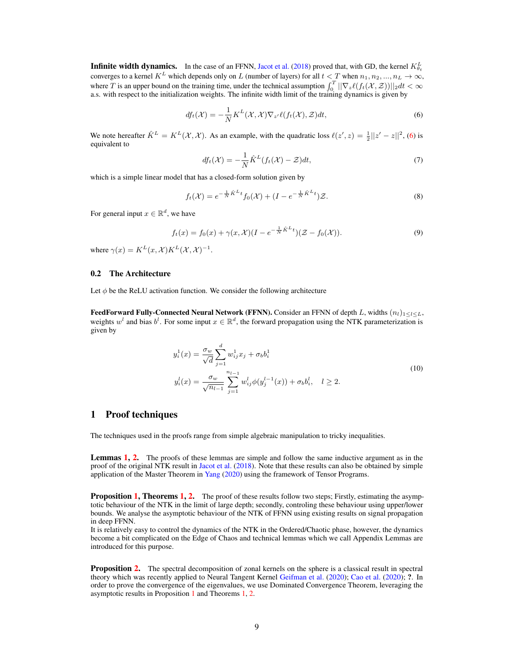**Infinite width dynamics.** In the case of an FFNN, Jacot et al. (2018) proved that, with GD, the kernel  $K_{\theta_t}^L$  converges to a kernel  $K^L$  which depends only on L (number of layers) for all  $t < T$  when  $n_1, n_2, ..., n_L \to \in$ where T is an upper bound on the training time, under the technical assumption  $\int_0^T ||\nabla_z \ell(f_t(\mathcal{X}, \mathcal{Z}))||_2 dt < \infty$ a.s. with respect to the initialization weights. The infinite width limit of the training dynamics is given by

$$
df_t(\mathcal{X}) = -\frac{1}{N} K^L(\mathcal{X}, \mathcal{X}) \nabla_{z'} \ell(f_t(\mathcal{X}), \mathcal{Z}) dt, \tag{6}
$$

We note hereafter  $\hat{K}^L = K^L(\mathcal{X}, \mathcal{X})$ . As an example, with the quadratic loss  $\ell(z', z) = \frac{1}{2}||z' - z||^2$ , [\(6\)](#page-1-0) is equivalent to

<span id="page-1-0"></span>
$$
df_t(\mathcal{X}) = -\frac{1}{N}\hat{K}^L(f_t(\mathcal{X}) - \mathcal{Z})dt,
$$
\n(7)

which is a simple linear model that has a closed-form solution given by

$$
f_t(\mathcal{X}) = e^{-\frac{1}{N}\hat{K}^L t} f_0(\mathcal{X}) + (I - e^{-\frac{1}{N}\hat{K}^L t}) \mathcal{Z}.
$$
 (8)

For general input  $x \in \mathbb{R}^d$ , we have

$$
f_t(x) = f_0(x) + \gamma(x, \mathcal{X})(I - e^{-\frac{1}{N}\hat{K}^L t})(\mathcal{Z} - f_0(\mathcal{X})).
$$
\n(9)

where  $\gamma(x) = K^L(x, \mathcal{X}) K^L(\mathcal{X}, \mathcal{X})^{-1}$ .

## 0.2 The Architecture

Let  $\phi$  be the ReLU activation function. We consider the following architecture

**FeedForward Fully-Connected Neural Network (FFNN).** Consider an FFNN of depth L, widths  $(n_l)_{1\leq l\leq L}$ , weights  $w^l$  and bias  $b^l$ . For some input  $x \in \mathbb{R}^d$ , the forward propagation using the NTK parameterization is given by

$$
y_i^1(x) = \frac{\sigma_w}{\sqrt{d}} \sum_{j=1}^d w_{ij}^1 x_j + \sigma_b b_i^1
$$
  

$$
y_i^l(x) = \frac{\sigma_w}{\sqrt{n_{l-1}}} \sum_{j=1}^{n_{l-1}} w_{ij}^l \phi(y_j^{l-1}(x)) + \sigma_b b_i^l, \quad l \ge 2.
$$
 (10)

# 1 Proof techniques

The techniques used in the proofs range from simple algebraic manipulation to tricky inequalities.

**Lemmas [1,](#page-7-0) [2.](#page-12-0)** The proofs of these lemmas are simple and follow the same inductive argument as in the proof of the original NTK result in Jacot et al. (2018). Note that these results can also be obtained by simple application of the Master Theorem in Yang (2020) using the framework of Tensor Programs.

**Proposition [1,](#page-11-0) Theorems 1, 2.** The proof of these results follow two steps; Firstly, estimating the asymptotic behaviour of the NTK in the limit of large depth; secondly, controling these behaviour using upper/lower bounds. We analyse the asymptotic behaviour of the NTK of FFNN using existing results on signal propagation in deep FFNN.

It is relatively easy to control the dynamics of the NTK in the Ordered/Chaotic phase, however, the dynamics become a bit complicated on the Edge of Chaos and technical lemmas which we call Appendix Lemmas are introduced for this purpose.

**Proposition 2.** The spectral decomposition of zonal kernels on the sphere is a classical result in spectral theory which was recently applied to Neural Tangent Kernel Geifman et al. (2020); Cao et al. (2020); ?. In order to prove the convergence of the eigenvalues, we use Dominated Convergence Theorem, leveraging the asymptotic results in Proposition [1](#page-8-0) and Theorems [1,](#page-11-0) 2.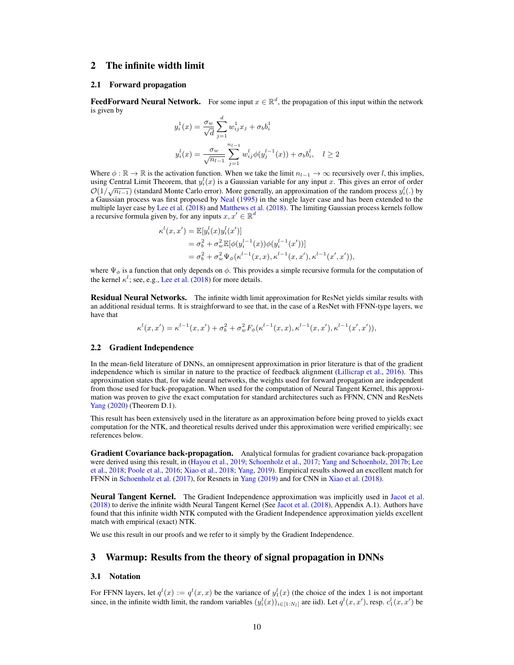# 2 The infinite width limit

### 2.1 Forward propagation

**FeedForward Neural Network.** For some input  $x \in \mathbb{R}^d$ , the propagation of this input within the network is given by

$$
y_i^1(x) = \frac{\sigma_w}{\sqrt{d}} \sum_{j=1}^d w_{ij}^1 x_j + \sigma_b b_i^1
$$
  

$$
y_i^l(x) = \frac{\sigma_w}{\sqrt{n_{l-1}}} \sum_{j=1}^{n_{l-1}} w_{ij}^l \phi(y_j^{l-1}(x)) + \sigma_b b_i^l, \quad l \ge 2
$$

Where  $\phi : \mathbb{R} \to \mathbb{R}$  is the activation function. When we take the limit  $n_{l-1} \to \infty$  recursively over l, this implies, using Central Limit Theorem, that  $y_i^l(x)$  is a Gaussian variable for any input x. This gives an error of order  $\mathcal{O}(1/\sqrt{n_1-1})$  (standard Monte Carlo error). More generally, an approximation of the random process  $y_i^l(.)$  by a Gaussian process was first proposed by Neal (1995) in the single layer case and has been extended to the multiple layer case by Lee et al. (2018) and Matthews et al. (2018). The limiting Gaussian process kernels follow a recursive formula given by, for any inputs  $x, x' \in \mathbb{R}^d$ 

$$
\kappa^{l}(x, x') = \mathbb{E}[y_i^{l}(x)y_i^{l}(x')]
$$
  
=  $\sigma_b^2 + \sigma_w^2 \mathbb{E}[\phi(y_i^{l-1}(x))\phi(y_i^{l-1}(x'))]$   
=  $\sigma_b^2 + \sigma_w^2 \Psi_{\phi}(\kappa^{l-1}(x, x), \kappa^{l-1}(x, x'), \kappa^{l-1}(x', x'))$ ,

where  $\Psi_{\phi}$  is a function that only depends on  $\phi$ . This provides a simple recursive formula for the computation of the kernel  $\kappa^l$ ; see, e.g., Lee et al. (2018) for more details.

Residual Neural Networks. The infinite width limit approximation for ResNet yields similar results with an additional residual terms. It is straighforward to see that, in the case of a ResNet with FFNN-type layers, we have that

$$
\kappa^{l}(x, x') = \kappa^{l-1}(x, x') + \sigma_b^2 + \sigma_w^2 F_{\phi}(\kappa^{l-1}(x, x), \kappa^{l-1}(x, x'), \kappa^{l-1}(x', x')),
$$

#### <span id="page-2-0"></span>2.2 Gradient Independence

In the mean-field literature of DNNs, an omnipresent approximation in prior literature is that of the gradient independence which is similar in nature to the practice of feedback alignment (Lillicrap et al., 2016). This approximation states that, for wide neural networks, the weights used for forward propagation are independent from those used for back-propagation. When used for the computation of Neural Tangent Kernel, this approximation was proven to give the exact computation for standard architectures such as FFNN, CNN and ResNets Yang (2020) (Theorem D.1).

This result has been extensively used in the literature as an approximation before being proved to yields exact computation for the NTK, and theoretical results derived under this approximation were verified empirically; see references below.

Gradient Covariance back-propagation. Analytical formulas for gradient covariance back-propagation were derived using this result, in (Hayou et al., 2019; Schoenholz et al., 2017; Yang and Schoenholz, 2017b; Lee et al., 2018; Poole et al., 2016; Xiao et al., 2018; Yang, 2019). Empirical results showed an excellent match for FFNN in Schoenholz et al. (2017), for Resnets in Yang (2019) and for CNN in Xiao et al. (2018).

Neural Tangent Kernel. The Gradient Independence approximation was implicitly used in Jacot et al. (2018) to derive the infinite width Neural Tangent Kernel (See Jacot et al. (2018), Appendix A.1). Authors have found that this infinite width NTK computed with the Gradient Independence approximation yields excellent match with empirical (exact) NTK.

We use this result in our proofs and we refer to it simply by the Gradient Independence.

# 3 Warmup: Results from the theory of signal propagation in DNNs

## 3.1 Notation

For FFNN layers, let  $q^l(x) := q^l(x, x)$  be the variance of  $y_1^l(x)$  (the choice of the index 1 is not important since, in the infinite width limit, the random variables  $(y_i^l(x))_{i \in [1:N_l]}$  are iid). Let  $q^l(x, x')$ , resp.  $c_1^l(x, x')$  be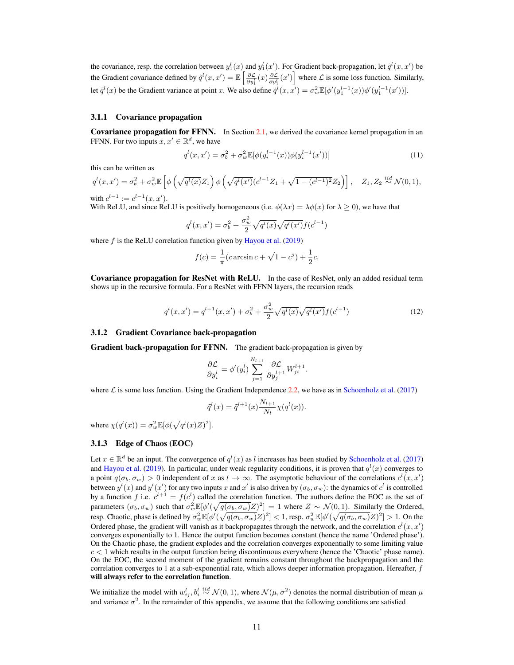the covariance, resp. the correlation between  $y_1^l(x)$  and  $y_1^l(x')$ . For Gradient back-propagation, let  $\tilde{q}^l(x, x')$  be the Gradient covariance defined by  $\tilde{q}^{l}(x, x') = \mathbb{E}\left[\frac{\partial \mathcal{L}}{\partial y_1^l}(x) \frac{\partial \mathcal{L}}{\partial y_1^l}(x')\right]$  where  $\mathcal{L}$  is some loss function. Similarly, let  $\tilde{q}^{l}(x)$  be the Gradient variance at point x. We also define  $\dot{q}^{l}(x, x') = \sigma_w^2 \mathbb{E}[\phi'(y_1^{l-1}(x))\phi'(y_1^{l-1}(x'))]$ .

### 3.1.1 Covariance propagation

Covariance propagation for FFNN. In Section 2.1, we derived the covariance kernel propagation in an FFNN. For two inputs  $x, x' \in \mathbb{R}^d$ , we have

<span id="page-3-0"></span>
$$
q^{l}(x, x') = \sigma_b^2 + \sigma_w^2 \mathbb{E}[\phi(y_i^{l-1}(x))\phi(y_i^{l-1}(x'))]
$$
\n(11)

this can be written as

$$
q^{l}(x, x') = \sigma_b^2 + \sigma_w^2 \mathbb{E}\left[\phi\left(\sqrt{q^{l}(x)}Z_1\right)\phi\left(\sqrt{q^{l}(x')}(c^{l-1}Z_1 + \sqrt{1 - (c^{l-1})^2}Z_2\right)\right], \quad Z_1, Z_2 \stackrel{iid}{\sim} \mathcal{N}(0, 1),
$$
  
with  $c^{l-1} := c^{l-1}(x, x').$ 

With ReLU, and since ReLU is positively homogeneous (i.e.  $\phi(\lambda x) = \lambda \phi(x)$  for  $\lambda > 0$ ), we have that

$$
q^{l}(x, x') = \sigma_b^2 + \frac{\sigma_w^2}{2} \sqrt{q^{l}(x)} \sqrt{q^{l}(x')} f(c^{l-1})
$$

where  $f$  is the ReLU correlation function given by Hayou et al. (2019)

$$
f(c) = \frac{1}{\pi} (c \arcsin c + \sqrt{1 - c^2}) + \frac{1}{2}c.
$$

Covariance propagation for ResNet with ReLU. In the case of ResNet, only an added residual term shows up in the recursive formula. For a ResNet with FFNN layers, the recursion reads

$$
q^{l}(x, x') = q^{l-1}(x, x') + \sigma_b^2 + \frac{\sigma_w^2}{2} \sqrt{q^{l}(x)} \sqrt{q^{l}(x')} f(c^{l-1})
$$
\n(12)

## 3.1.2 Gradient Covariance back-propagation

**Gradient back-propagation for FFNN.** The gradient back-propagation is given by

$$
\frac{\partial \mathcal{L}}{\partial y_i^l} = \phi'(y_i^l) \sum_{j=1}^{N_{l+1}} \frac{\partial \mathcal{L}}{\partial y_j^{l+1}} W_{ji}^{l+1}.
$$

where  $\mathcal L$  is some loss function. Using the Gradient Independence [2.2,](#page-2-0) we have as in Schoenholz et al. (2017)

$$
\tilde{q}^{l}(x) = \tilde{q}^{l+1}(x) \frac{N_{l+1}}{N_l} \chi(q^{l}(x)).
$$

where  $\chi(q^l(x)) = \sigma_w^2 \mathbb{E}[\phi(\sqrt{q^l(x)}Z)^2]$ .

## 3.1.3 Edge of Chaos (EOC)

Let  $x \in \mathbb{R}^d$  be an input. The convergence of  $q^l(x)$  as l increases has been studied by Schoenholz et al. (2017) and Hayou et al. (2019). In particular, under weak regularity conditions, it is proven that  $q^{l}(x)$  converges to a point  $q(\sigma_b, \sigma_w) > 0$  independent of x as  $l \to \infty$ . The asymptotic behaviour of the correlations  $c^l(x, x')$ between  $y^l(x)$  and  $y^l(x')$  for any two inputs x and x' is also driven by  $(\sigma_b, \sigma_w)$ : the dynamics of  $c^l$  is controlled by a function f i.e.  $c^{l+1} = f(c^l)$  called the correlation function. The authors define the EOC as the set of parameters  $(\sigma_b, \sigma_w)$  such that  $\sigma_w^2 \mathbb{E}[\phi'(\sqrt{q(\sigma_b, \sigma_w)}Z)^2] = 1$  where  $Z \sim \mathcal{N}(0, 1)$ . Similarly the Ordered, resp. Chaotic, phase is defined by  $\sigma_w^2 \mathbb{E}[\phi'(\sqrt{q(\sigma_b, \sigma_w)}Z)^2] < 1$ , resp.  $\sigma_w^2 \mathbb{E}[\phi'(\sqrt{q(\sigma_b, \sigma_w)}Z)^2] > 1$ . On the Ordered phase, the gradient will vanish as it backpropagates through the network, and the correlation  $c^l(x, x')$ converges exponentially to 1. Hence the output function becomes constant (hence the name 'Ordered phase'). On the Chaotic phase, the gradient explodes and the correlation converges exponentially to some limiting value  $c < 1$  which results in the output function being discontinuous everywhere (hence the 'Chaotic' phase name). On the EOC, the second moment of the gradient remains constant throughout the backpropagation and the correlation converges to 1 at a sub-exponential rate, which allows deeper information propagation. Hereafter,  $f$ will always refer to the correlation function.

We initialize the model with  $w_{ij}^l, b_i^l \stackrel{iid}{\sim} \mathcal{N}(0,1)$ , where  $\mathcal{N}(\mu, \sigma^2)$  denotes the normal distribution of mean  $\mu$ and variance  $\sigma^2$ . In the remainder of this appendix, we assume that the following conditions are satisfied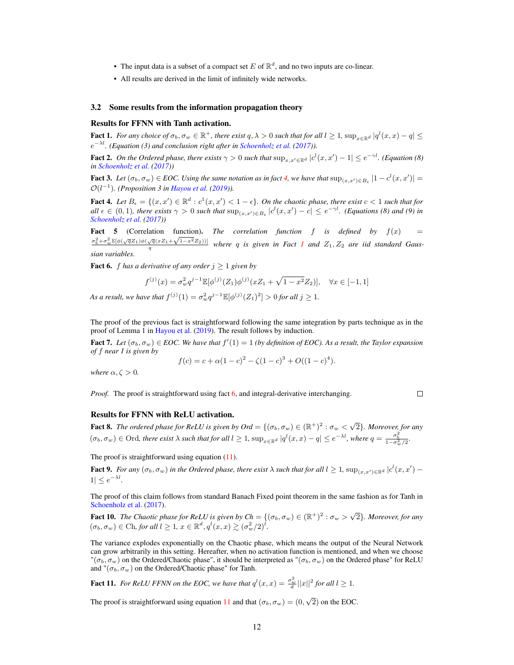- The input data is a subset of a compact set E of  $\mathbb{R}^d$ , and no two inputs are co-linear.
- All results are derived in the limit of infinitely wide networks.

#### 3.2 Some results from the information propagation theory

## Results for FFNN with Tanh activation.

<span id="page-4-1"></span>**Fact 1.** For any choice of  $\sigma_b, \sigma_w \in \mathbb{R}^+$ , there exist  $q, \lambda > 0$  such that for all  $l \ge 1$ ,  $\sup_{x \in \mathbb{R}^d} |q^l(x, x) - q| \le$ e <sup>−</sup>λl*. (Equation (3) and conclusion right after in Schoenholz et al. (2017)).*

<span id="page-4-3"></span>Fact 2. On the Ordered phase, there exists  $\gamma > 0$  such that  $\sup_{x,x'\in\mathbb{R}^d} |c^l(x,x') - 1| \leq e^{-\gamma l}$ . (Equation (8) *in Schoenholz et al. (2017))*

<span id="page-4-7"></span>**Fact 3.** Let  $(\sigma_b, \sigma_w) \in EOC$ . Using the same notation as in fact [4,](#page-4-0) we have that  $\sup_{(x,x') \in B_{\epsilon}} |1 - c^l(x,x')|$  =  $\mathcal{O}(l^{-1})$ . (Proposition 3 in Hayou et al. (2019)).

<span id="page-4-0"></span>Fact 4. Let  $B_{\epsilon} = \{(x, x') \in \mathbb{R}^d : c^1(x, x') < 1 - \epsilon\}$ . On the chaotic phase, there exist  $c < 1$  such that for  $all \epsilon \in (0,1)$ , there exists  $\gamma > 0$  such that  $\sup_{(x,x') \in B_{\epsilon}} |c^l(x,x') - c| \leq e^{-\gamma l}$ . (Equations (8) and (9) in *Schoenholz et al. (2017))*

**Fact 5** (Correlation function). *The correlation function*  $f$  *is defined by*  $f(x) =$ **act 5** (Correlation function). The correlation function for a aefined by  $f(x) = \frac{\sigma_b^2 + \sigma_w^2 \mathbb{E}[\phi(\sqrt{q}Z_1)\phi(\sqrt{q}(xZ_1+\sqrt{1-x^2}Z_2))] }{q}$  $f(x) = \frac{\sigma_b^2 + \sigma_w^2 \mathbb{E}[\phi(\sqrt{q}Z_1)\phi(\sqrt{q}(xZ_1+\sqrt{1-x^2}Z_2))] }{q}$  $f(x) = \frac{\sigma_b^2 + \sigma_w^2 \mathbb{E}[\phi(\sqrt{q}Z_1)\phi(\sqrt{q}(xZ_1+\sqrt{1-x^2}Z_2))] }{q}$  where q is given in Fact *1* and  $Z_1, Z_2$  are iid standard Gaus*sian variables.*

<span id="page-4-2"></span>**Fact 6.** *f* has a derivative of any order  $j \ge 1$  given by

$$
f^{(j)}(x) = \sigma_w^2 q^{j-1} \mathbb{E}[\phi^{(j)}(Z_1)\phi^{(j)}(xZ_1 + \sqrt{1 - x^2}Z_2)], \quad \forall x \in [-1, 1]
$$

*As a result, we have that*  $f^{(j)}(1) = \sigma_w^2 q^{j-1} \mathbb{E}[\phi^{(j)}(Z_1)^2] > 0$  for all  $j \ge 1$ .

The proof of the previous fact is straightforward following the same integration by parts technique as in the proof of Lemma 1 in Hayou et al. (2019). The result follows by induction.

<span id="page-4-5"></span>**Fact 7.** Let  $(\sigma_b, \sigma_w) \in EOC$ . We have that  $f'(1) = 1$  (by definition of EOC). As a result, the Taylor expansion *of* f *near 1 is given by*

$$
f(c) = c + \alpha (1 - c)^{2} - \zeta (1 - c)^{3} + O((1 - c)^{4}).
$$

*where*  $\alpha, \zeta > 0$ *.* 

*Proof.* The proof is straightforward using fact [6,](#page-4-2) and integral-derivative interchanging.

# $\Box$

#### Results for FFNN with ReLU activation.

**Fact 8.** The ordered phase for ReLU is given by  $Ord = \{(\sigma_b, \sigma_w) \in (\mathbb{R}^+)^2 : \sigma_w < \sqrt{2}\}$ . Moreover, for any  $(\sigma_b, \sigma_w) \in \text{Ord}$ , there exist  $\lambda$  such that for all  $l \geq 1$ ,  $\sup_{x \in \mathbb{R}^d} |q^l(x, x) - q| \leq e^{-\lambda l}$ , where  $q = \frac{\sigma_b^2}{1 - \sigma_w^2/2}$ .

The proof is straightforward using equation [\(11\)](#page-3-0).

<span id="page-4-4"></span>**Fact 9.** For any  $(\sigma_b, \sigma_w)$  in the Ordered phase, there exist  $\lambda$  such that for all  $l \geq 1$ ,  $\sup_{(x,x')\in\mathbb{R}^d} |c^l(x,x') 1 \leq e^{-\lambda l}$ .

The proof of this claim follows from standard Banach Fixed point theorem in the same fashion as for Tanh in Schoenholz et al. (2017).

Fact 10. *The Chaotic phase for ReLU is given by*  $Ch = \{(\sigma_b, \sigma_w) \in (\mathbb{R}^+)^2 : \sigma_w > \sqrt{2}\}$ *. Moreover, for any*  $(\sigma_b, \sigma_w) \in \text{Ch}$ , for all  $l \geq 1$ ,  $x \in \mathbb{R}^d$ ,  $q^l(x, x) \gtrsim (\sigma_w^2/2)^l$ .

The variance explodes exponentially on the Chaotic phase, which means the output of the Neural Network can grow arbitrarily in this setting. Hereafter, when no activation function is mentioned, and when we choose  $\sigma_{(a,b,\sigma_w)}$  on the Ordered/Chaotic phase", it should be interpreted as " $(\sigma_b, \sigma_w)$  on the Ordered phase" for ReLU and " $(\sigma_b, \sigma_w)$  on the Ordered/Chaotic phase" for Tanh.

<span id="page-4-6"></span>**Fact 11.** For ReLU FFNN on the EOC, we have that  $q^{l}(x, x) = \frac{\sigma_w^2}{d} ||x||^2$  for all  $l \ge 1$ .

The proof is straightforward using equation [11](#page-3-0) and that  $(\sigma_b, \sigma_w) = (0, \sqrt{2})$  on the EOC.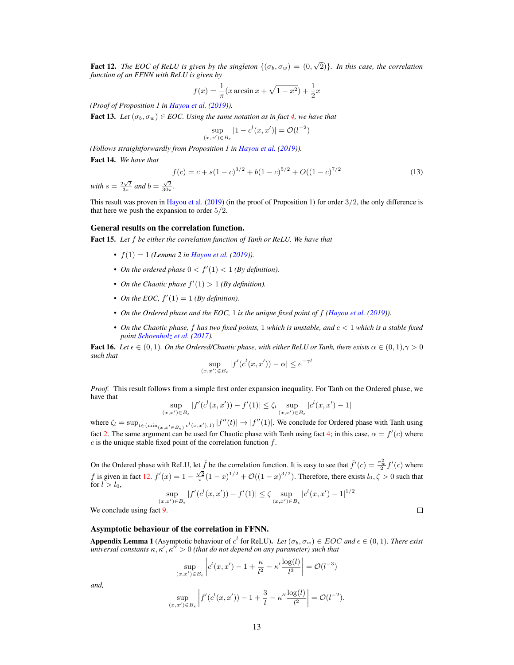<span id="page-5-0"></span>**Fact 12.** The EOC of ReLU is given by the singleton  $\{(\sigma_b, \sigma_w) = (0, \sqrt{2})\}$ . In this case, the correlation *function of an FFNN with ReLU is given by*

$$
f(x) = \frac{1}{\pi} (x \arcsin x + \sqrt{1 - x^2}) + \frac{1}{2}x
$$

*(Proof of Proposition 1 in Hayou et al. (2019)).*

<span id="page-5-1"></span>**Fact 13.** *Let*  $(\sigma_b, \sigma_w) \in EOC$ . Using the same notation as in fact [4,](#page-4-0) we have that

$$
\sup_{(x,x') \in B_{\epsilon}} |1 - c^{l}(x, x')| = \mathcal{O}(l^{-2})
$$

*(Follows straightforwardly from Proposition 1 in Hayou et al. (2019)).*

<span id="page-5-2"></span>Fact 14. *We have that*

$$
f(c) = c + s(1 - c)^{3/2} + b(1 - c)^{5/2} + O((1 - c)^{7/2}
$$
\n(13)

*with*  $s = \frac{2\sqrt{2}}{3\pi}$  *and*  $b = \frac{\sqrt{2}}{30\pi}$ *.* 

This result was proven in Hayou et al. (2019) (in the proof of Proposition 1) for order 3/2, the only difference is that here we push the expansion to order 5/2.

#### General results on the correlation function.

<span id="page-5-4"></span>Fact 15. *Let* f *be either the correlation function of Tanh or ReLU. We have that*

- $f(1) = 1$  *(Lemma 2 in Hayou et al. (2019)).*
- On the ordered phase  $0 < f'(1) < 1$  (By definition).
- *On the Chaotic phase*  $f'(1) > 1$  *(By definition).*
- *On the EOC,*  $f'(1) = 1$  *(By definition).*
- *On the Ordered phase and the EOC,* 1 *is the unique fixed point of* f *(Hayou et al. (2019)).*
- *On the Chaotic phase,* f *has two fixed points,* 1 *which is unstable, and* c < 1 *which is a stable fixed point Schoenholz et al. (2017).*

<span id="page-5-3"></span>**Fact 16.** Let  $\epsilon \in (0,1)$ . On the Ordered/Chaotic phase, with either ReLU or Tanh, there exists  $\alpha \in (0,1)$ ,  $\gamma > 0$ *such that*

$$
\sup_{(x,x')\in B_{\epsilon}} |f'(c^l(x,x')) - \alpha| \le e^{-\gamma l}
$$

*Proof.* This result follows from a simple first order expansion inequality. For Tanh on the Ordered phase, we have that

$$
\sup_{(x,x') \in B_{\epsilon}} |f'(c^{l}(x,x')) - f'(1)| \le \zeta_l \sup_{(x,x') \in B_{\epsilon}} |c^{l}(x,x') - 1|
$$

where  $\zeta_l = \sup_{t \in (\min_{(x, x' \in B_\epsilon)} c^l(x, x'), 1)} |f''(t)| \to |f''(1)|$ . We conclude for Ordered phase with Tanh using fact [2.](#page-4-3) The same argument can be used for Chaotic phase with Tanh using fact [4;](#page-4-0) in this case,  $\alpha = f'(c)$  where  $c$  is the unique stable fixed point of the correlation function  $f$ .

On the Ordered phase with ReLU, let  $\tilde{f}$  be the correlation function. It is easy to see that  $\tilde{f}'(c) = \frac{\sigma_w^2}{2} f'(c)$  where f is given in fact [12.](#page-5-0)  $f'(x) = 1 - \frac{\sqrt{2}}{\pi} (1-x)^{1/2} + \mathcal{O}((1-x)^{3/2})$ . Therefore, there exists  $l_0, \zeta > 0$  such that for  $l > l_0$ ,

$$
\sup_{(x,x') \in B_{\epsilon}} |f'(c^l(x,x')) - f'(1)| \le \zeta \sup_{(x,x') \in B_{\epsilon}} |c^l(x,x') - 1|^{1/2}
$$

 $\Box$ 

We conclude using fact [9.](#page-4-4)

## Asymptotic behaviour of the correlation in FFNN.

<span id="page-5-5"></span>Appendix Lemma 1 (Asymptotic behaviour of  $c^l$  for ReLU). *Let*  $(\sigma_b, \sigma_w) \in EOC$  and  $\epsilon \in (0, 1)$ *. There exist universal constants*  $\kappa, \kappa', \kappa'' > 0$  (that do not depend on any parameter) such that

$$
\sup_{(x,x') \in B_{\epsilon}} \left| c^{l}(x,x') - 1 + \frac{\kappa}{l^{2}} - \kappa' \frac{\log(l)}{l^{3}} \right| = \mathcal{O}(l^{-3})
$$
  

$$
\sup_{(x,x') \in B_{\epsilon}} \left| f'(c^{l}(x,x')) - 1 + \frac{3}{l} - \kappa'' \frac{\log(l)}{l^{2}} \right| = \mathcal{O}(l^{-2}).
$$

*and,*

$$
\sup_{(x,x') \in B_{\epsilon}} \left| f'(c^l(x,x')) - 1 + \frac{3}{l} - \kappa'' \frac{\log(l)}{l^2} \right| = \mathcal{O}(l^{-2})
$$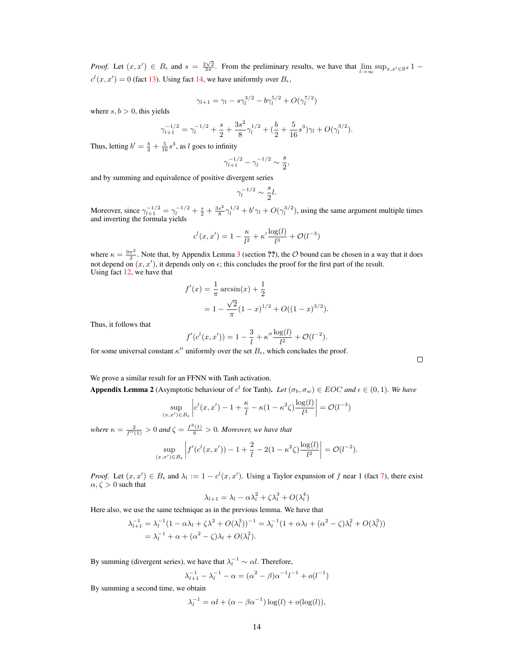*Proof.* Let  $(x, x') \in B_\epsilon$  and  $s = \frac{2\sqrt{2}}{3\pi}$ . From the preliminary results, we have that  $\lim_{l \to \infty} \sup_{x, x' \in \mathbb{R}^d} 1$  $c^{l}(x, x') = 0$  (fact [13\)](#page-5-1). Using fact [14,](#page-5-2) we have uniformly over  $B_{\epsilon}$ ,

$$
\gamma_{l+1} = \gamma_l - s\gamma_l^{3/2} - b\gamma_l^{5/2} + O(\gamma_l^{7/2})
$$

where  $s, b > 0$ , this yields

$$
\gamma_{l+1}^{-1/2} = \gamma_l^{-1/2} + \frac{s}{2} + \frac{3s^2}{8}\gamma_l^{1/2} + \left(\frac{b}{2} + \frac{5}{16}s^3\right)\gamma_l + O(\gamma_l^{3/2}).
$$

Thus, letting  $b' = \frac{b}{2} + \frac{5}{16} s^3$ , as l goes to infinity

$$
\gamma_{l+1}^{-1/2} - \gamma_l^{-1/2} \sim \frac{s}{2},
$$

and by summing and equivalence of positive divergent series

$$
\gamma_l^{-1/2}\sim \frac{s}{2}l.
$$

Moreover, since  $\gamma_{l+1}^{-1/2} = \gamma_l^{-1/2} + \frac{s}{2} + \frac{3s^2}{8}$  $\frac{s^2}{8}\gamma_l^{1/2} + b'\gamma_l + O(\gamma_l^{3/2})$ , using the same argument multiple times and inverting the formula yields

$$
c^{l}(x, x') = 1 - \frac{\kappa}{l^{2}} + \kappa' \frac{\log(l)}{l^{3}} + \mathcal{O}(l^{-3})
$$

where  $\kappa = \frac{9\pi^2}{2}$  $\frac{\pi^2}{2}$ . Note that, by Appendix Lemma [3](#page-7-1) (section ??), the O bound can be chosen in a way that it does not depend on  $(x, x')$ , it depends only on  $\epsilon$ ; this concludes the proof for the first part of the result. Using fact [12,](#page-5-0) we have that

$$
f'(x) = \frac{1}{\pi} \arcsin(x) + \frac{1}{2}
$$
  
=  $1 - \frac{\sqrt{2}}{\pi} (1 - x)^{1/2} + O((1 - x)^{3/2}).$ 

Thus, it follows that

$$
f'(c^{l}(x, x')) = 1 - \frac{3}{l} + \kappa'' \frac{\log(l)}{l^2} + \mathcal{O}(l^{-2}).
$$

for some universal constant  $\kappa''$  uniformly over the set  $B_{\epsilon}$ , which concludes the proof.

 $\Box$ 

We prove a similar result for an FFNN with Tanh activation.

<span id="page-6-0"></span>**Appendix Lemma 2** (Asymptotic behaviour of  $c^l$  for Tanh). Let  $(\sigma_b, \sigma_w) \in EOC$  and  $\epsilon \in (0, 1)$ . We have

$$
\sup_{(x,x')\in B_{\epsilon}} \left| c^{l}(x,x') - 1 + \frac{\kappa}{l} - \kappa(1-\kappa^2\zeta) \frac{\log(l)}{l^3} \right| = \mathcal{O}(l^{-3})
$$

*where*  $\kappa = \frac{2}{f''(1)} > 0$  *and*  $\zeta = \frac{f^3(1)}{6} > 0$ *. Moreover, we have that* 

$$
\sup_{(x,x')\in B_{\epsilon}} \left| f'(c^l(x,x')) - 1 + \frac{2}{l} - 2(1 - \kappa^2 \zeta) \frac{\log(l)}{l^2} \right| = \mathcal{O}(l^{-2}).
$$

*Proof.* Let  $(x, x') \in B_\epsilon$  and  $\lambda_l := 1 - c^l(x, x')$ . Using a Taylor expansion of f near 1 (fact [7\)](#page-4-5), there exist  $\alpha, \zeta > 0$  such that

$$
\lambda_{l+1} = \lambda_l - \alpha \lambda_l^2 + \zeta \lambda_l^3 + O(\lambda_l^4)
$$

Here also, we use the same technique as in the previous lemma. We have that

$$
\lambda_{l+1}^{-1} = \lambda_l^{-1} (1 - \alpha \lambda_l + \zeta \lambda^2 + O(\lambda_l^3))^{-1} = \lambda_l^{-1} (1 + \alpha \lambda_l + (\alpha^2 - \zeta) \lambda_l^2 + O(\lambda_l^3))
$$
  
=  $\lambda_l^{-1} + \alpha + (\alpha^2 - \zeta) \lambda_l + O(\lambda_l^2).$ 

By summing (divergent series), we have that  $\lambda_l^{-1} \sim \alpha l$ . Therefore,

$$
\lambda_{l+1}^{-1} - \lambda_l^{-1} - \alpha = (\alpha^2 - \beta)\alpha^{-1}l^{-1} + o(l^{-1})
$$

By summing a second time, we obtain

$$
\lambda_l^{-1} = \alpha l + (\alpha - \beta \alpha^{-1}) \log(l) + o(\log(l)),
$$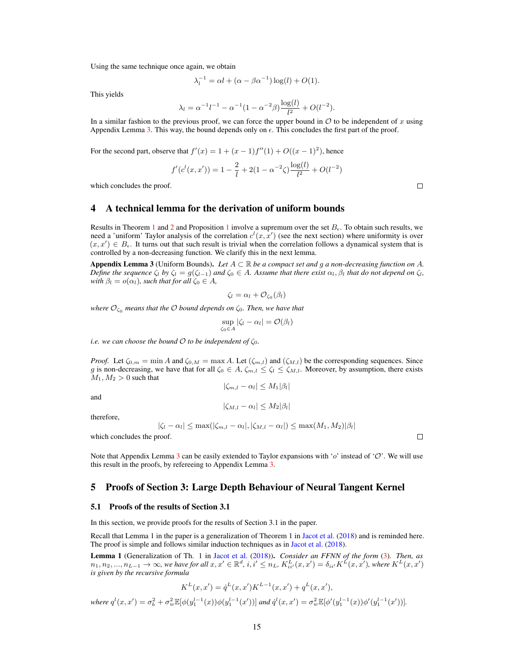Using the same technique once again, we obtain

$$
\lambda_l^{-1} = \alpha l + (\alpha - \beta \alpha^{-1}) \log(l) + O(1).
$$

This yields

$$
\lambda_l = \alpha^{-1} l^{-1} - \alpha^{-1} (1 - \alpha^{-2} \beta) \frac{\log(l)}{l^2} + O(l^{-2}).
$$

In a similar fashion to the previous proof, we can force the upper bound in  $\mathcal O$  to be independent of x using Appendix Lemma [3.](#page-7-1) This way, the bound depends only on  $\epsilon$ . This concludes the first part of the proof.

For the second part, observe that  $f'(x) = 1 + (x - 1)f''(1) + O((x - 1)^2)$ , hence

$$
f'(c^{l}(x, x')) = 1 - \frac{2}{l} + 2(1 - \alpha^{-2}\zeta)\frac{\log(l)}{l^2} + O(l^{-2})
$$

which concludes the proof.

## 4 A technical lemma for the derivation of uniform bounds

Results in Theorem [1](#page-8-0) and 2 and Proposition 1 involve a supremum over the set  $B_{\epsilon}$ . To obtain such results, we need a 'uniform' Taylor analysis of the correlation  $c^l(x, x')$  (see the next section) where uniformity is over  $(x, x') \in B_{\epsilon}$ . It turns out that such result is trivial when the correlation follows a dynamical system that is controlled by a non-decreasing function. We clarify this in the next lemma.

<span id="page-7-1"></span>Appendix Lemma 3 (Uniform Bounds). Let  $A \subset \mathbb{R}$  be a compact set and g a non-decreasing function on A. *Define the sequence*  $\zeta_l$  *by*  $\zeta_l = g(\zeta_{l-1})$  *and*  $\zeta_0 \in A$ *. Assume that there exist*  $\alpha_l, \beta_l$  *that do not depend on*  $\zeta_l$ *, with*  $\beta_l = o(\alpha_l)$ *, such that for all*  $\zeta_0 \in A$ *,* 

$$
\zeta_l = \alpha_l + \mathcal{O}_{\zeta_0}(\beta_l)
$$

*where*  $\mathcal{O}_{\zeta_0}$  *means that the*  $\mathcal O$  *bound depends on*  $\zeta_0$ *. Then, we have that* 

$$
\sup_{\zeta_0 \in A} |\zeta_l - \alpha_l| = \mathcal{O}(\beta_l)
$$

*i.e. we can choose the bound*  $O$  *to be independent of*  $\zeta_0$ *.* 

*Proof.* Let  $\zeta_{0,m} = \min A$  and  $\zeta_{0,M} = \max A$ . Let  $(\zeta_{m,l})$  and  $(\zeta_{M,l})$  be the corresponding sequences. Since g is non-decreasing, we have that for all  $\zeta_0 \in A$ ,  $\zeta_{m,l} \leq \zeta_l \leq \zeta_{M,l}$ . Moreover, by assumption, there exists  $M_1, M_2 > 0$  such that  $|\zeta_{m,l} - \alpha_l| \leq M_1 |\beta_l|$ 

$$
|\zeta_{m,l}-\alpha_l|\leq N
$$

and

$$
|\zeta_{M,l}-\alpha_l|\leq M_2|\beta_l|
$$

therefore,

$$
|\zeta_l - \alpha_l| \le \max(|\zeta_{m,l} - \alpha_l|, |\zeta_{M,l} - \alpha_l|) \le \max(M_1, M_2) |\beta_l|
$$

which concludes the proof.

Note that Appendix Lemma [3](#page-7-1) can be easily extended to Taylor expansions with 'o' instead of 'O'. We will use this result in the proofs, by refereeing to Appendix Lemma [3.](#page-7-1)

## 5 Proofs of Section 3: Large Depth Behaviour of Neural Tangent Kernel

#### 5.1 Proofs of the results of Section 3.1

In this section, we provide proofs for the results of Section 3.1 in the paper.

Recall that Lemma 1 in the paper is a generalization of Theorem 1 in Jacot et al. (2018) and is reminded here. The proof is simple and follows similar induction techniques as in Jacot et al. (2018).

<span id="page-7-0"></span>Lemma 1 (Generalization of Th. 1 in Jacot et al. (2018)). *Consider an FFNN of the form* (3)*. Then, as*  $n_1, n_2, ..., n_{L-1} \to \infty$ , we have for all  $x, x' \in \mathbb{R}^d$ ,  $i, i' \leq n_L$ ,  $K_{ii'}^L(x, x') = \delta_{ii'} K^L(x, x')$ , where  $K^L(x, x')$ *is given by the recursive formula*

$$
K^{L}(x, x') = \dot{q}^{L}(x, x') K^{L-1}(x, x') + q^{L}(x, x'),
$$
  
where  $q^{l}(x, x') = \sigma_{b}^{2} + \sigma_{w}^{2} \mathbb{E}[\phi(y_{1}^{l-1}(x))\phi(y_{1}^{l-1}(x'))]$  and  $\dot{q}^{l}(x, x') = \sigma_{w}^{2} \mathbb{E}[\phi'(y_{1}^{l-1}(x))\phi'(y_{1}^{l-1}(x'))].$ 

 $\Box$ 

 $\Box$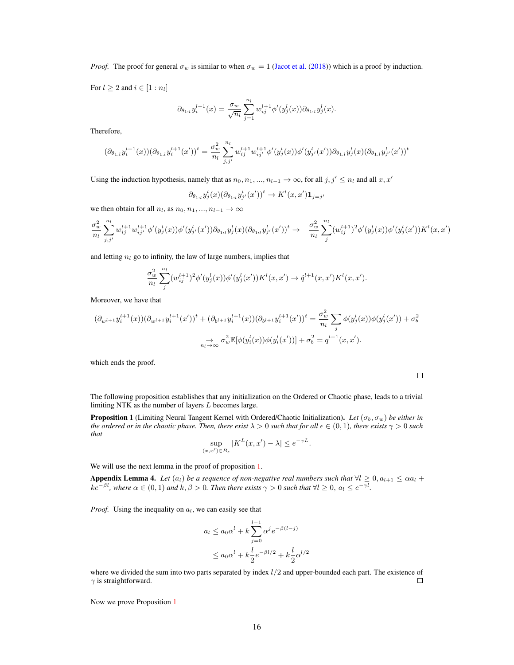*Proof.* The proof for general  $\sigma_w$  is similar to when  $\sigma_w = 1$  (Jacot et al. (2018)) which is a proof by induction.

For  $l \geq 2$  and  $i \in [1:n_l]$ 

$$
\partial_{\theta_{1:l}} y_i^{l+1}(x) = \frac{\sigma_w}{\sqrt{n_l}} \sum_{j=1}^{n_l} w_{ij}^{l+1} \phi'(y_j^l(x)) \partial_{\theta_{1:l}} y_j^l(x).
$$

Therefore,

$$
(\partial_{\theta_{1:l}} y_i^{l+1}(x))(\partial_{\theta_{1:l}} y_i^{l+1}(x'))^t = \frac{\sigma_w^2}{n_l} \sum_{j,j'}^{n_l} w_{ij}^{l+1} w_{ij'}^{l+1} \phi'(y_j^l(x)) \phi'(y_{j'}^l(x')) \partial_{\theta_{1:l}} y_j^l(x) (\partial_{\theta_{1:l}} y_{j'}^l(x'))^t
$$

Using the induction hypothesis, namely that as  $n_0, n_1, ..., n_{l-1} \to \infty$ , for all  $j, j' \leq n_l$  and all  $x, x'$ 

$$
\partial_{\theta_{1:l}} y_j^l(x) (\partial_{\theta_{1:l}} y_{j'}^l(x'))^t \to K^l(x, x') \mathbf{1}_{j=j'}
$$

we then obtain for all  $n_l$ , as  $n_0, n_1, ..., n_{l-1} \rightarrow \infty$ 

$$
\frac{\sigma_w^2}{n_l} \sum_{j,j'}^{n_l} w_{ij}^{l+1} w_{ij'}^{l+1} \phi'(y_j^l(x)) \phi'(y_{j'}^l(x')) \partial_{\theta_{1:l}} y_j^l(x) (\partial_{\theta_{1:l}} y_{j'}^l(x'))^t \to \frac{\sigma_w^2}{n_l} \sum_{j}^{n_l} (w_{ij}^{l+1})^2 \phi'(y_j^l(x)) \phi'(y_j^l(x')) K^l(x,x')
$$

and letting  $n_l$  go to infinity, the law of large numbers, implies that

$$
\frac{\sigma_w^2}{n_l} \sum_j^{n_l} (w_{ij}^{l+1})^2 \phi'(y_j^l(x)) \phi'(y_j^l(x')) K^l(x, x') \to q^{l+1}(x, x') K^l(x, x').
$$

Moreover, we have that

$$
(\partial_{w^{l+1}} y_i^{l+1}(x))(\partial_{w^{l+1}} y_i^{l+1}(x'))^t + (\partial_{b^{l+1}} y_i^{l+1}(x))(\partial_{b^{l+1}} y_i^{l+1}(x'))^t = \frac{\sigma_w^2}{n_l} \sum_j \phi(y_j^l(x))\phi(y_j^l(x')) + \sigma_b^2
$$

$$
\Rightarrow \sigma_w^2 \mathbb{E}[\phi(y_i^l(x))\phi(y_i^l(x'))] + \sigma_b^2 = q^{l+1}(x, x').
$$

which ends the proof.

The following proposition establishes that any initialization on the Ordered or Chaotic phase, leads to a trivial limiting NTK as the number of layers L becomes large.

<span id="page-8-0"></span>Proposition 1 (Limiting Neural Tangent Kernel with Ordered/Chaotic Initialization). *Let* (σb, σw) *be either in the ordered or in the chaotic phase. Then, there exist*  $\lambda > 0$  *such that for all*  $\epsilon \in (0, 1)$ *, there exists*  $\gamma > 0$  *such that*

$$
\sup_{(x,x')\in B_{\epsilon}} |K^L(x,x') - \lambda| \le e^{-\gamma L}.
$$

We will use the next lemma in the proof of proposition [1.](#page-8-0)

<span id="page-8-1"></span>Appendix Lemma 4. Let  $(a_l)$  *be a sequence of non-negative real numbers such that*  $\forall l \geq 0, a_{l+1} \leq \alpha a_l +$  $ke^{-\beta l}$ , where  $\alpha \in (0,1)$  and  $k,\beta > 0$ . Then there exists  $\gamma > 0$  such that  $\forall l \geq 0, \, a_l \leq e^{-\gamma l}$ .

*Proof.* Using the inequality on  $a_l$ , we can easily see that

$$
a_l \le a_0 \alpha^l + k \sum_{j=0}^{l-1} \alpha^j e^{-\beta(l-j)}
$$
  

$$
\le a_0 \alpha^l + k \frac{l}{2} e^{-\beta l/2} + k \frac{l}{2} \alpha^{l/2}
$$

where we divided the sum into two parts separated by index  $l/2$  and upper-bounded each part. The existence of  $\gamma$  is straightforward.  $\gamma$  is straightforward.

Now we prove Proposition [1](#page-8-0)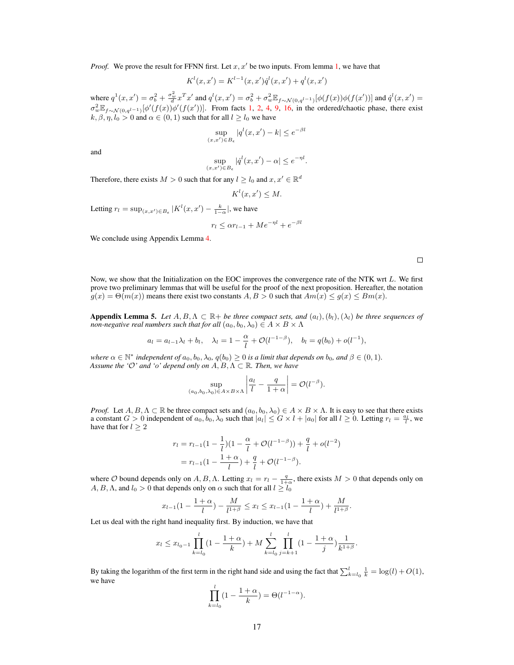*Proof.* We prove the result for FFNN first. Let  $x, x'$  be two inputs. From lemma [1,](#page-7-0) we have that

$$
K^{l}(x, x') = K^{l-1}(x, x')\dot{q}^{l}(x, x') + q^{l}(x, x')
$$

where  $q^1(x, x') = \sigma_b^2 + \frac{\sigma_w^2}{d} x^T x'$  and  $q^l(x, x') = \sigma_b^2 + \sigma_w^2 \mathbb{E}_{f \sim \mathcal{N}(0, q^{l-1})} [\phi(f(x))\phi(f(x'))]$  and  $\dot{q}^l(x, x') =$  $\sigma_w^2 \mathbb{E}_{f \sim \mathcal{N}(0, q^{l-1})} [\phi'(f(x))\phi'(f(x'))]$ . From facts [1,](#page-4-1) [2,](#page-4-3) [4,](#page-4-0) [9,](#page-4-4) [16,](#page-5-3) in the ordered/chaotic phase, there exist  $k, \beta, \eta, l_0 > 0$  and  $\alpha \in (0, 1)$  such that for all  $l \geq l_0$  we have

$$
\sup_{(x,x')\in B_{\epsilon}}|q^l(x,x')-k|\leq e^{-\beta l}
$$

and

$$
\sup_{(x,x')\in B_{\epsilon}} |\dot{q}^l(x,x') - \alpha| \le e^{-\eta l}.
$$

Therefore, there exists  $M > 0$  such that for any  $l \geq l_0$  and  $x, x' \in \mathbb{R}^d$ 

$$
K^l(x, x') \leq M.
$$

Letting  $r_l = \sup_{(x,x') \in B_{\epsilon}} |K^l(x, x') - \frac{k}{1-\alpha}|$ , we have

$$
r_l \le \alpha r_{l-1} + Me^{-\eta l} + e^{-\beta l}
$$

We conclude using Appendix Lemma [4.](#page-8-1)

Now, we show that the Initialization on the EOC improves the convergence rate of the NTK wrt L. We first prove two preliminary lemmas that will be useful for the proof of the next proposition. Hereafter, the notation  $g(x) = \Theta(m(x))$  means there exist two constants  $A, B > 0$  such that  $Am(x) \le g(x) \le Bm(x)$ .

<span id="page-9-0"></span>**Appendix Lemma 5.** Let  $A, B, \Lambda \subset \mathbb{R}$  + *be three compact sets, and*  $(a_l), (b_l), (\lambda_l)$  *be three sequences of non-negative real numbers such that for all*  $(a_0, b_0, \lambda_0) \in A \times B \times \Lambda$ 

$$
a_l = a_{l-1}\lambda_l + b_l
$$
,  $\lambda_l = 1 - \frac{\alpha}{l} + \mathcal{O}(l^{-1-\beta})$ ,  $b_l = q(b_0) + o(l^{-1})$ ,

*where*  $\alpha \in \mathbb{N}^*$  *independent of*  $a_0, b_0, \lambda_0, q(b_0) \ge 0$  *is a limit that depends on*  $b_0$ *, and*  $\beta \in (0, 1)$ *. Assume the '* $O'$  *and 'o' depend only on*  $A, B, \Lambda \subset \mathbb{R}$ *. Then, we have* 

$$
\sup_{(a_0,b_0,\lambda_0)\in A\times B\times\Lambda} \left| \frac{a_l}{l} - \frac{q}{1+\alpha} \right| = \mathcal{O}(l^{-\beta}).
$$

*Proof.* Let  $A, B, \Lambda \subset \mathbb{R}$  be three compact sets and  $(a_0, b_0, \lambda_0) \in A \times B \times \Lambda$ . It is easy to see that there exists a constant  $G > 0$  independent of  $a_0, b_0, \lambda_0$  such that  $|a_l| \leq G \times l + |a_0|$  for all  $l \geq 0$ . Letting  $r_l = \frac{a_l}{l}$ , we have that for  $l \geq 2$ 

$$
r_l = r_{l-1}(1 - \frac{1}{l})(1 - \frac{\alpha}{l} + \mathcal{O}(l^{-1-\beta})) + \frac{q}{l} + o(l^{-2})
$$
  
=  $r_{l-1}(1 - \frac{1+\alpha}{l}) + \frac{q}{l} + \mathcal{O}(l^{-1-\beta}).$ 

where O bound depends only on A, B,  $\Lambda$ . Letting  $x_l = r_l - \frac{q}{1+\alpha}$ , there exists  $M > 0$  that depends only on  $A, B, \Lambda$ , and  $l_0 > 0$  that depends only on  $\alpha$  such that for all  $l \geq l_0$ 

$$
x_{l-1}(1-\frac{1+\alpha}{l})-\frac{M}{l^{1+\beta}} \leq x_l \leq x_{l-1}(1-\frac{1+\alpha}{l})+\frac{M}{l^{1+\beta}}.
$$

Let us deal with the right hand inequality first. By induction, we have that

$$
x_l \le x_{l_0-1} \prod_{k=l_0}^l \left(1 - \frac{1+\alpha}{k}\right) + M \sum_{k=l_0}^l \prod_{j=k+1}^l \left(1 - \frac{1+\alpha}{j}\right) \frac{1}{k^{1+\beta}}.
$$

By taking the logarithm of the first term in the right hand side and using the fact that  $\sum_{k=0}^{l} \frac{1}{k} = \log(l) + O(1)$ , we have

$$
\prod_{k=l_0}^{l} (1 - \frac{1+\alpha}{k}) = \Theta(l^{-1-\alpha}).
$$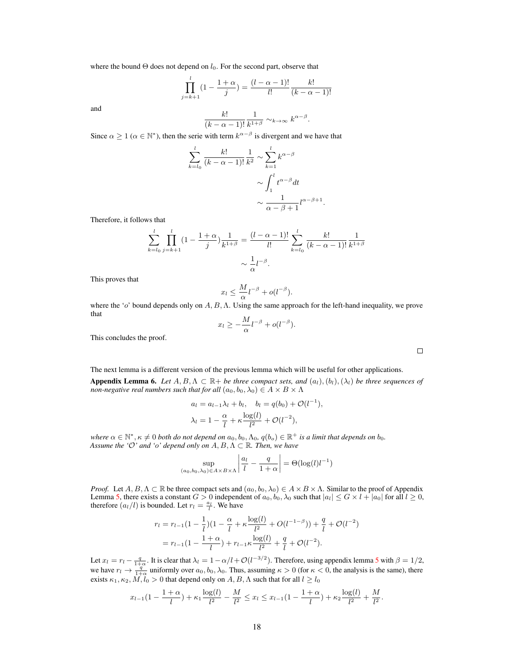where the bound  $\Theta$  does not depend on  $l_0$ . For the second part, observe that

$$
\prod_{j=k+1}^{l} (1 - \frac{1+\alpha}{j}) = \frac{(l-\alpha-1)!}{l!} \frac{k!}{(k-\alpha-1)!}
$$

and

$$
\frac{k!}{(k-\alpha-1)!}\frac{1}{k^{1+\beta}}\sim_{k\to\infty} k^{\alpha-\beta}.
$$

Since  $\alpha \geq 1$  ( $\alpha \in \mathbb{N}^*$ ), then the serie with term  $k^{\alpha-\beta}$  is divergent and we have that

$$
\sum_{k=l_0}^{l} \frac{k!}{(k-\alpha-1)!} \frac{1}{k^2} \sim \sum_{k=1}^{l} k^{\alpha-\beta}
$$

$$
\sim \int_1^l t^{\alpha-\beta} dt
$$

$$
\sim \frac{1}{\alpha-\beta+1} l^{\alpha-\beta+1}.
$$

Therefore, it follows that

$$
\sum_{k=l_0}^{l} \prod_{j=k+1}^{l} (1 - \frac{1+\alpha}{j}) \frac{1}{k^{1+\beta}} = \frac{(l-\alpha-1)!}{l!} \sum_{k=l_0}^{l} \frac{k!}{(k-\alpha-1)!} \frac{1}{k^{1+\beta}}
$$

$$
\sim \frac{1}{\alpha} l^{-\beta}.
$$

This proves that

$$
x_l \leq \frac{M}{\alpha} l^{-\beta} + o(l^{-\beta}).
$$

where the 'o' bound depends only on  $A, B, \Lambda$ . Using the same approach for the left-hand inequality, we prove that

$$
x_l \geq -\frac{M}{\alpha}l^{-\beta} + o(l^{-\beta}).
$$

This concludes the proof.

<span id="page-10-0"></span>The next lemma is a different version of the previous lemma which will be useful for other applications. **Appendix Lemma 6.** Let  $A, B, \Lambda \subset \mathbb{R}$  + *be three compact sets, and*  $(a_l), (b_l), (\lambda_l)$  *be three sequences of non-negative real numbers such that for all*  $(a_0, b_0, \lambda_0) \in A \times B \times \Lambda$ 

$$
a_l = a_{l-1}\lambda_l + b_l, \quad b_l = q(b_0) + \mathcal{O}(l^{-1}),
$$
  

$$
\lambda_l = 1 - \frac{\alpha}{l} + \kappa \frac{\log(l)}{l^2} + \mathcal{O}(l^{-2}),
$$

where  $\alpha \in \mathbb{N}^*, \kappa \neq 0$  both do not depend on  $a_0, b_0, \Lambda_0, q(b_o) \in \mathbb{R}^+$  is a limit that depends on  $b_0$ . *Assume the '* $O'$  *and 'o' depend only on*  $A, B, \Lambda \subset \mathbb{R}$ *. Then, we have* 

$$
\sup_{(a_0,b_0,\lambda_0)\in A\times B\times\Lambda} \left| \frac{a_l}{l} - \frac{q}{1+\alpha} \right| = \Theta(\log(l)l^{-1})
$$

*Proof.* Let  $A, B, \Lambda \subset \mathbb{R}$  be three compact sets and  $(a_0, b_0, \lambda_0) \in A \times B \times \Lambda$ . Similar to the proof of Appendix Lemma [5,](#page-9-0) there exists a constant  $G > 0$  independent of  $a_0, b_0, \lambda_0$  such that  $|a_l| \leq G \times l + |a_0|$  for all  $l \geq 0$ , therefore  $(a_l/l)$  is bounded. Let  $r_l = \frac{a_l}{l}$ . We have

$$
r_l = r_{l-1}(1 - \frac{1}{l})(1 - \frac{\alpha}{l} + \kappa \frac{\log(l)}{l^2} + O(l^{-1-\beta})) + \frac{q}{l} + O(l^{-2})
$$
  
=  $r_{l-1}(1 - \frac{1+\alpha}{l}) + r_{l-1}\kappa \frac{\log(l)}{l^2} + \frac{q}{l} + O(l^{-2}).$ 

Let  $x_l = r_l - \frac{q}{1+\alpha}$ . It is clear that  $\lambda_l = 1 - \alpha/l + \mathcal{O}(l^{-3/2})$ . Therefore, using appendix lemma [5](#page-9-0) with  $\beta = 1/2$ , we have  $r_l \to \frac{q}{1+\alpha}$  uniformly over  $a_0, b_0, \lambda_0$ . Thus, assuming  $\kappa > 0$  (for  $\kappa < 0$ , the analysis is the same), there exists  $\kappa_1, \kappa_2, M, l_0 > 0$  that depend only on  $A, B, \Lambda$  such that for all  $l \geq l_0$ 

$$
x_{l-1}(1-\frac{1+\alpha}{l})+\kappa_1\frac{\log(l)}{l^2}-\frac{M}{l^2}\leq x_l\leq x_{l-1}(1-\frac{1+\alpha}{l})+\kappa_2\frac{\log(l)}{l^2}+\frac{M}{l^2}.
$$

 $\Box$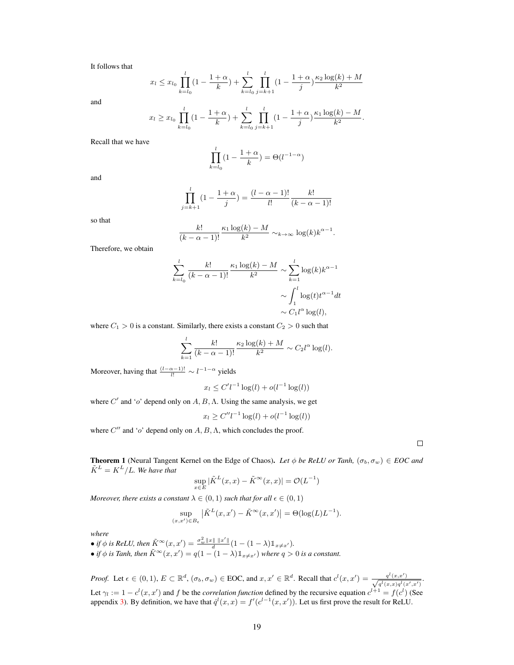It follows that

$$
x_l \le x_{l_0} \prod_{k=l_0}^l \left(1 - \frac{1+\alpha}{k}\right) + \sum_{k=l_0}^l \prod_{j=k+1}^l \left(1 - \frac{1+\alpha}{j}\right) \frac{\kappa_2 \log(k) + M}{k^2}
$$

and

$$
x_l \ge x_{l_0} \prod_{k=l_0}^l (1 - \frac{1+\alpha}{k}) + \sum_{k=l_0}^l \prod_{j=k+1}^l (1 - \frac{1+\alpha}{j}) \frac{\kappa_1 \log(k) - M}{k^2}.
$$

Recall that we have

$$
\prod_{k=l_0}^l (1 - \frac{1+\alpha}{k}) = \Theta(l^{-1-\alpha})
$$

and

$$
\prod_{j=k+1}^{l} (1 - \frac{1+\alpha}{j}) = \frac{(l-\alpha-1)!}{l!} \frac{k!}{(k-\alpha-1)!}
$$

so that

$$
\frac{k!}{(k-\alpha-1)!} \frac{\kappa_1 \log(k) - M}{k^2} \sim_{k \to \infty} \log(k) k^{\alpha-1}.
$$

Therefore, we obtain

$$
\sum_{k=l_0}^{l} \frac{k!}{(k-\alpha-1)!} \frac{\kappa_1 \log(k) - M}{k^2} \sim \sum_{k=1}^{l} \log(k) k^{\alpha-1}
$$

$$
\sim \int_1^l \log(t) t^{\alpha-1} dt
$$

$$
\sim C_1 l^{\alpha} \log(l),
$$

where  $C_1 > 0$  is a constant. Similarly, there exists a constant  $C_2 > 0$  such that

$$
\sum_{k=1}^{l} \frac{k!}{(k - \alpha - 1)!} \frac{\kappa_2 \log(k) + M}{k^2} \sim C_2 l^{\alpha} \log(l).
$$

Moreover, having that  $\frac{(l-\alpha-1)!}{l!} \sim l^{-1-\alpha}$  yields

$$
x_l \le C' l^{-1} \log(l) + o(l^{-1} \log(l))
$$

where  $C'$  and 'o' depend only on  $A, B, \Lambda$ . Using the same analysis, we get

$$
x_l \ge C'' l^{-1} \log(l) + o(l^{-1} \log(l))
$$

where  $C''$  and 'o' depend only on  $A, B, \Lambda$ , which concludes the proof.

 $\Box$ 

<span id="page-11-0"></span>**Theorem 1** (Neural Tangent Kernel on the Edge of Chaos). Let  $\phi$  be ReLU or Tanh,  $(\sigma_b, \sigma_w) \in EOC$  and  $\tilde{K}^L = K^L / L$ *. We have that* 

$$
\sup_{x \in E} |\tilde{K}^L(x, x) - \tilde{K}^{\infty}(x, x)| = \mathcal{O}(L^{-1})
$$

*Moreover, there exists a constant*  $\lambda \in (0,1)$  *such that for all*  $\epsilon \in (0,1)$ 

$$
\sup_{(x,x')\in B_{\epsilon}} \left| \tilde{K}^L(x,x') - \tilde{K}^{\infty}(x,x') \right| = \Theta(\log(L)L^{-1}).
$$

*where*

- *if*  $\phi$  *is ReLU, then*  $\tilde{K}^{\infty}(x, x') = \frac{\sigma_w^2 ||x|| ||x'||}{d} (1 (1 \lambda) \mathbb{1}_{x \neq x'})$ .
- *if*  $\phi$  *is Tanh, then*  $\tilde{K}^{\infty}(x, x') = q(1 (1 \lambda)\mathbb{1}_{x \neq x'})$  where  $q > 0$  *is a constant.*

*Proof.* Let  $\epsilon \in (0,1)$ ,  $E \subset \mathbb{R}^d$ ,  $(\sigma_b, \sigma_w) \in$  EOC, and  $x, x' \in \mathbb{R}^d$ . Recall that  $c^l(x, x') = \frac{q^l(x, x')}{\sqrt{d(x, y) + d(y)}}$  $\frac{q^{(x,x^{\prime})}}{q^{(x,x)q^{(x^{\prime},x^{\prime})}}}.$ Let  $\gamma_l := 1 - c^l(x, x')$  and f be the *correlation function* defined by the recursive equation  $c^{l+1} = f(c^l)$  (See appendix 3). By definition, we have that  $\dot{q}^l(x, x) = f'(c^{l-1}(x, x'))$ . Let us first prove the result for ReLU.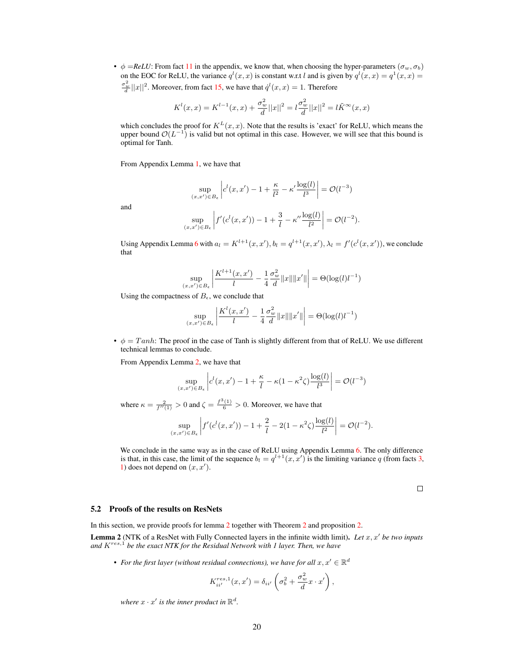•  $\phi = ReLU$ : From fact [11](#page-4-6) in the appendix, we know that, when choosing the hyper-parameters ( $\sigma_w$ ,  $\sigma_b$ ) on the EOC for ReLU, the variance  $q^l(x, x)$  is constant w.r.t l and is given by  $q^l(x, x) = q^1(x, x) =$  $\frac{\sigma_w^2}{d} ||x||^2$ . Moreover, from fact [15,](#page-5-4) we have that  $\dot{q}^l(x, x) = 1$ . Therefore

$$
K^{l}(x, x) = K^{l-1}(x, x) + \frac{\sigma_w^2}{d} ||x||^2 = l \frac{\sigma_w^2}{d} ||x||^2 = l \tilde{K}^{\infty}(x, x)
$$

which concludes the proof for  $K^L(x, x)$ . Note that the results is 'exact' for ReLU, which means the upper bound  $\mathcal{O}(L^{-1})$  is valid but not optimal in this case. However, we will see that this bound is optimal for Tanh.

From Appendix Lemma [1,](#page-5-5) we have that

$$
\sup_{(x,x') \in B_{\epsilon}} \left| c^{l}(x,x') - 1 + \frac{\kappa}{l^{2}} - \kappa' \frac{\log(l)}{l^{3}} \right| = \mathcal{O}(l^{-3})
$$

and

$$
\sup_{(x,x')\in B_{\epsilon}} \left| f'(c^l(x,x')) - 1 + \frac{3}{l} - \kappa'' \frac{\log(l)}{l^2} \right| = \mathcal{O}(l^{-2}).
$$

Using Appendix Lemma [6](#page-10-0) with  $a_l = K^{l+1}(x, x'), b_l = q^{l+1}(x, x'), \lambda_l = f'(c^l(x, x')),$  we conclude that

$$
\sup_{(x,x') \in B_{\epsilon}} \left| \frac{K^{l+1}(x,x')}{l} - \frac{1}{4} \frac{\sigma_w^2}{d} ||x|| ||x'|| \right| = \Theta(\log(l)l^{-1})
$$

Using the compactness of  $B_{\epsilon}$ , we conclude that

$$
\sup_{(x,x') \in B_{\epsilon}} \left| \frac{K^{l}(x,x')}{l} - \frac{1}{4} \frac{\sigma_w^{2}}{d} ||x|| ||x'|| \right| = \Theta(\log(l)l^{-1})
$$

•  $\phi = Tanh$ : The proof in the case of Tanh is slightly different from that of ReLU. We use different technical lemmas to conclude.

From Appendix Lemma [2,](#page-6-0) we have that

$$
\sup_{(x,x')\in B_{\epsilon}} \left| c^{l}(x,x') - 1 + \frac{\kappa}{l} - \kappa(1-\kappa^2\zeta) \frac{\log(l)}{l^3} \right| = \mathcal{O}(l^{-3})
$$

where  $\kappa = \frac{2}{f''(1)} > 0$  and  $\zeta = \frac{f^3(1)}{6} > 0$ . Moreover, we have that

$$
\sup_{(x,x')\in B_{\epsilon}} \left| f'(c^l(x,x')) - 1 + \frac{2}{l} - 2(1 - \kappa^2 \zeta) \frac{\log(l)}{l^2} \right| = \mathcal{O}(l^{-2}).
$$

We conclude in the same way as in the case of ReLU using Appendix Lemma [6.](#page-10-0) The only difference is that, in this case, the limit of the sequence  $b_l = q^{l+1}(x, x')$  is the limiting variance q (from facts [3,](#page-4-7) [1\)](#page-4-1) does not depend on  $(x, x')$ .

 $\Box$ 

#### 5.2 Proofs of the results on ResNets

In this section, we provide proofs for lemma [2](#page-12-0) together with Theorem 2 and proposition 2.

<span id="page-12-0"></span>Lemma 2 (NTK of a ResNet with Fully Connected layers in the infinite width limit). Let x, x' be two inputs *and* Kres,<sup>1</sup> *be the exact NTK for the Residual Network with 1 layer. Then, we have*

• For the first layer (without residual connections), we have for all  $x, x' \in \mathbb{R}^d$ 

$$
K_{ii'}^{res,1}(x,x') = \delta_{ii'} \left(\sigma_b^2 + \frac{\sigma_w^2}{d}x \cdot x'\right),\,
$$

where  $x \cdot x'$  is the inner product in  $\mathbb{R}^d$ .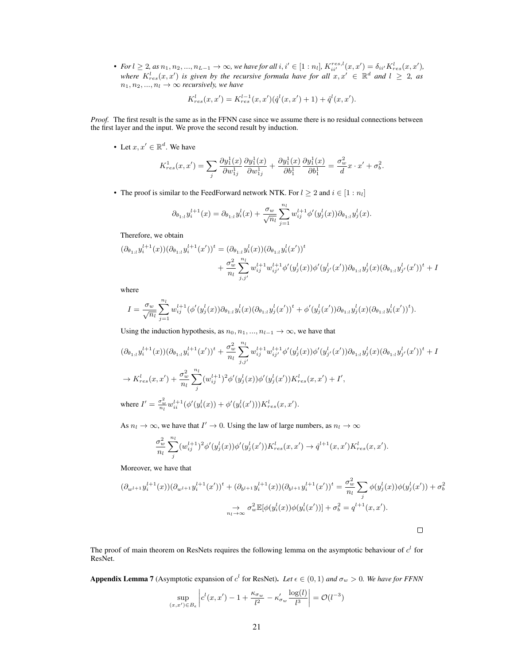• *For*  $l \geq 2$ , as  $n_1, n_2, ..., n_{L-1} \to \infty$ , we have for all  $i, i' \in [1:n_l]$ ,  $K_{ii'}^{res,l}(x, x') = \delta_{ii'} K_{res}^l(x, x')$ , *where*  $K_{res}^l(x, x')$  is given by the recursive formula have for all  $x, x' \in \mathbb{R}^d$  and  $l \geq 2$ , as  $n_1, n_2, ..., n_l \rightarrow \infty$  *recursively, we have* 

$$
K_{res}^l(x, x') = K_{res}^{l-1}(x, x')(\dot{q}^l(x, x') + 1) + \dot{q}^l(x, x').
$$

*Proof.* The first result is the same as in the FFNN case since we assume there is no residual connections between the first layer and the input. We prove the second result by induction.

• Let  $x, x' \in \mathbb{R}^d$ . We have

$$
K^1_{res}(x, x') = \sum_j \frac{\partial y_1^1(x)}{\partial w_{1j}^1} \frac{\partial y_1^1(x)}{\partial w_{1j}^1} + \frac{\partial y_1^1(x)}{\partial b_1^1} \frac{\partial y_1^1(x)}{\partial b_1^1} = \frac{\sigma_w^2}{d} x \cdot x' + \sigma_b^2.
$$

• The proof is similar to the FeedForward network NTK. For  $l \geq 2$  and  $i \in [1:n_l]$ 

$$
\partial_{\theta_{1:l}} y_i^{l+1}(x) = \partial_{\theta_{1:l}} y_i^l(x) + \frac{\sigma_w}{\sqrt{n_l}} \sum_{j=1}^{n_l} w_{ij}^{l+1} \phi'(y_j^l(x)) \partial_{\theta_{1:l}} y_j^l(x).
$$

Therefore, we obtain

$$
(\partial_{\theta_{1:l}} y_i^{l+1}(x))(\partial_{\theta_{1:l}} y_i^{l+1}(x'))^t = (\partial_{\theta_{1:l}} y_i^l(x))(\partial_{\theta_{1:l}} y_i^l(x'))^t
$$
  
+ 
$$
\frac{\sigma_w^2}{n_l} \sum_{j,j'}^{n_l} w_{ij'}^{l+1} w_{ij'}^{l+1} \phi'(y_j^l(x)) \phi'(y_{j'}^l(x')) \partial_{\theta_{1:l}} y_j^l(x) (\partial_{\theta_{1:l}} y_{j'}^l(x'))^t + I
$$

where

$$
I = \frac{\sigma_w}{\sqrt{n_l}} \sum_{j=1}^{n_l} w_{ij}^{l+1} (\phi'(y_j^l(x)) \partial_{\theta_{1:l}} y_i^l(x) (\partial_{\theta_{1:l}} y_j^l(x'))^t + \phi'(y_j^l(x')) \partial_{\theta_{1:l}} y_j^l(x) (\partial_{\theta_{1:l}} y_i^l(x'))^t).
$$

Using the induction hypothesis, as  $n_0, n_1, ..., n_{l-1} \rightarrow \infty$ , we have that

$$
(\partial_{\theta_{1:l}} y_i^{l+1}(x))(\partial_{\theta_{1:l}} y_i^{l+1}(x'))^t + \frac{\sigma_w^2}{n_l} \sum_{j,j'}^{n_l} w_{ij}^{l+1} w_{ij'}^{l+1} \phi'(y_j^l(x)) \phi'(y_{j'}^l(x')) \partial_{\theta_{1:l}} y_j^l(x) (\partial_{\theta_{1:l}} y_{j'}^l(x'))^t + I
$$
  
\n
$$
\rightarrow K_{res}^l(x, x') + \frac{\sigma_w^2}{n_l} \sum_j^{n_l} (w_{ij}^{l+1})^2 \phi'(y_j^l(x)) \phi'(y_j^l(x')) K_{res}^l(x, x') + I',
$$
  
\nwhere  $I' = \frac{\sigma_w^2}{n_l} w_{ii}^{l+1} (\phi'(y_i^l(x)) + \phi'(y_i^l(x')) K_{res}^l(x, x').$ 

As  $n_l \to \infty$ , we have that  $I' \to 0$ . Using the law of large numbers, as  $n_l \to \infty$ 

$$
\frac{\sigma_w^2}{n_l}\sum_j^{n_l} (w_{ij}^{l+1})^2\phi'(y_j^l(x))\phi'(y_j^l(x'))K_{res}^l(x,x')\to \dot{q}^{l+1}(x,x')K_{res}^l(x,x').
$$

Moreover, we have that

$$
(\partial_{w^{l+1}} y_i^{l+1}(x))(\partial_{w^{l+1}} y_i^{l+1}(x'))^t + (\partial_{b^{l+1}} y_i^{l+1}(x))(\partial_{b^{l+1}} y_i^{l+1}(x'))^t = \frac{\sigma_w^2}{n_l} \sum_j \phi(y_j^l(x))\phi(y_j^l(x')) + \sigma_b^2
$$

$$
\to \sigma_w^2 \mathbb{E}[\phi(y_i^l(x))\phi(y_i^l(x'))] + \sigma_b^2 = q^{l+1}(x, x').
$$

 $\Box$ 

The proof of main theorem on ResNets requires the following lemma on the asymptotic behaviour of  $c<sup>l</sup>$  for ResNet.

<span id="page-13-0"></span>Appendix Lemma 7 (Asymptotic expansion of  $c^l$  for ResNet). Let  $\epsilon \in (0,1)$  and  $\sigma_w > 0$ . We have for FFNN

$$
\sup_{(x,x')\in B_{\epsilon}} \left| c^{l}(x,x')-1+\frac{\kappa_{\sigma_w}}{l^2}-\kappa'_{\sigma_w}\frac{\log(l)}{l^3}\right|=\mathcal{O}(l^{-3})
$$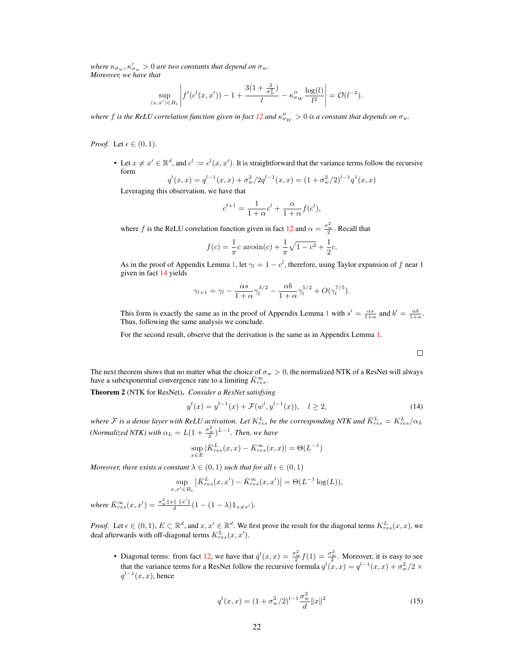where  $\kappa_{\sigma_w}, \kappa'_{\sigma_w} > 0$  are two constants that depend on  $\sigma_w$ . *Moreover, we have that*

$$
\sup_{(x,x')\in B_{\epsilon}} \left| f'(c^l(x,x')) - 1 + \frac{3(1+\frac{2}{\sigma_w^2})}{l} - \kappa_{\sigma_W}'' \frac{\log(l)}{l^2} \right| = \mathcal{O}(l^{-2}).
$$

where  $f$  is the ReLU correlation function given in fact [12](#page-5-0) and  $\kappa''_{\sigma_W} > 0$  is a constant that depends on  $\sigma_w$ .

*Proof.* Let  $\epsilon \in (0,1)$ .

• Let  $x \neq x' \in \mathbb{R}^d$ , and  $c^l := c^l(x, x')$ . It is straightforward that the variance terms follow the recursive form

$$
q^{l}(x,x) = q^{l-1}(x,x) + \sigma_w^2/2q^{l-1}(x,x) = (1 + \sigma_w^2/2)^{l-1}q^1(x,x)
$$
  
Leveraging this observation, we have that

$$
c^{l+1} = \frac{1}{1+\alpha}c^l + \frac{\alpha}{1+\alpha}f(c^l),
$$

where f is the ReLU correlation function given in fact [12](#page-5-0) and  $\alpha = \frac{\sigma_w^2}{2}$ . Recall that

$$
f(c) = \frac{1}{\pi}c \arcsin(c) + \frac{1}{\pi}\sqrt{1 - c^2} + \frac{1}{2}c.
$$

As in the proof of Appendix Lemma [1,](#page-5-5) let  $\gamma_l = 1 - c^l$ , therefore, using Taylor expansion of f near 1 given in fact [14](#page-5-2) yields

$$
\gamma_{l+1} = \gamma_l - \frac{\alpha s}{1+\alpha} \gamma_l^{3/2} - \frac{\alpha b}{1+\alpha} \gamma_l^{5/2} + O(\gamma_l^{7/5}).
$$

This form is exactly the same as in the proof of Appendix Lemma [1](#page-5-5) with  $s' = \frac{\alpha s}{1+\alpha}$  and  $b' = \frac{\alpha b}{1+\alpha}$ . Thus, following the same analysis we conclude.

For the second result, observe that the derivation is the same as in Appendix Lemma [1.](#page-5-5)

$$
\Box
$$

The next theorem shows that no matter what the choice of  $\sigma_w > 0$ , the normalized NTK of a ResNet will always have a subexponential convergence rate to a limiting  $K_{res}^{\infty}$ .

Theorem 2 (NTK for ResNet). *Consider a ResNet satisfying*

$$
y^{l}(x) = y^{l-1}(x) + \mathcal{F}(w^{l}, y^{l-1}(x)), \quad l \ge 2,
$$
\n(14)

where  $F$  is a dense layer with ReLU activation. Let  $K_{res}^L$  be the corresponding NTK and  $\bar{K}_{res}^L = K_{res}^L/\alpha_L$ *(Normalized NTK)* with  $\alpha_L = L(1 + \frac{\sigma_w^2}{2})^{L-1}$ . Then, we have

$$
\sup_{x \in E} |\bar{K}_{res}^{L}(x,x) - \bar{K}_{res}^{\infty}(x,x)| = \Theta(L^{-1})
$$

*Moreover, there exists a constant*  $\lambda \in (0,1)$  *such that for all*  $\epsilon \in (0,1)$ 

$$
\sup_{x,x'\in B_{\epsilon}} \left| \bar{K}_{res}^L(x,x') - \bar{K}_{res}^{\infty}(x,x') \right| = \Theta(L^{-1}\log(L)),
$$

 $where \ \bar{K}_{res}^{\infty}(x, x') = \frac{\sigma_w^2 ||x|| ||x'||}{d} (1 - (1 - \lambda) \mathbb{1}_{x \neq x'}).$ 

*Proof.* Let  $\epsilon \in (0,1)$ ,  $E \subset \mathbb{R}^d$ , and  $x, x' \in \mathbb{R}^d$ . We first prove the result for the diagonal terms  $K_{res}^L(x, x)$ , we deal afterwards with off-diagonal terms  $K_{res}^L(x, x')$ .

<span id="page-14-0"></span>• Diagonal terms: from fact [12,](#page-5-0) we have that  $\dot{q}^l(x,x) = \frac{\sigma_w^2}{2} f(1) = \frac{\sigma_w^2}{2}$ . Moreover, it is easy to see that the variance terms for a ResNet follow the recursive formula  $q^{l}(x, x) = q^{l-1}(x, x) + \sigma_w^2/2 \times$  $q^{l-1}(x, x)$ , hence

$$
q^{l}(x,x) = (1 + \sigma_w^{2}/2)^{l-1} \frac{\sigma_w^{2}}{d} ||x||^{2}
$$
 (15)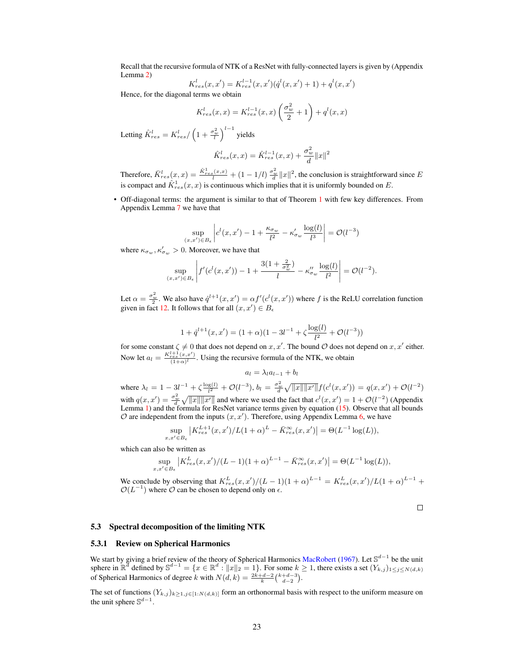Recall that the recursive formula of NTK of a ResNet with fully-connected layers is given by (Appendix Lemma [2\)](#page-12-0)

$$
K_{res}^l(x, x') = K_{res}^{l-1}(x, x')\left(\dot{q}^l(x, x') + 1\right) + q^l(x, x')
$$

Hence, for the diagonal terms we obtain

$$
K_{res}^l(x,x) = K_{res}^{l-1}(x,x) \left(\frac{\sigma_w^2}{2} + 1\right) + q^l(x,x)
$$

Letting  $\hat{K}_{res}^l = K_{res}^l / \left(1 + \frac{\sigma_w^2}{l}\right)^{l-1}$  yields

$$
\hat{K}_{res}^l(x,x) = \hat{K}_{res}^{l-1}(x,x) + \frac{\sigma_w^2}{d} ||x||^2
$$

Therefore,  $\bar{K}_{res}^l(x,x) = \frac{\hat{K}_{res}^1(x,x)}{l} + (1 - 1/l) \frac{\sigma_w^2}{d} ||x||^2$ , the conclusion is straightforward since E is compact and  $\hat{K}_{res}^1(x, x)$  is continuous which implies that it is uniformly bounded on E.

• Off-diagonal terms: the argument is similar to that of Theorem [1](#page-11-0) with few key differences. From Appendix Lemma [7](#page-13-0) we have that

$$
\sup_{(x,x')\in B_{\epsilon}} \left| c^l(x,x') - 1 + \frac{\kappa_{\sigma_w}}{l^2} - \kappa'_{\sigma_w} \frac{\log(l)}{l^3} \right| = \mathcal{O}(l^{-3})
$$

where  $\kappa_{\sigma_w}, \kappa'_{\sigma_w} > 0$ . Moreover, we have that

$$
\sup_{(x,x')\in B_{\epsilon}} \left| f'(c^l(x,x')) - 1 + \frac{3(1+\frac{2}{\sigma_w^2})}{l} - \kappa_{\sigma_w}'' \frac{\log(l)}{l^2} \right| = \mathcal{O}(l^{-2}).
$$

Let  $\alpha = \frac{\sigma_w^2}{2}$ . We also have  $\dot{q}^{l+1}(x, x') = \alpha f'(c^l(x, x'))$  where f is the ReLU correlation function given in fact [12.](#page-5-0) It follows that for all  $(x, x') \in B_{\epsilon}$ 

$$
1 + \dot{q}^{l+1}(x, x') = (1 + \alpha)(1 - 3l^{-1} + \zeta \frac{\log(l)}{l^2} + \mathcal{O}(l^{-3}))
$$

for some constant  $\zeta \neq 0$  that does not depend on  $x, x'$ . The bound  $\mathcal O$  does not depend on  $x, x'$  either. Now let  $a_l = \frac{K_{res}^{l+1}(x, x')}{(1+\infty)^l}$  $\frac{\text{res } (x,x)}{(1+\alpha)^l}$ . Using the recursive formula of the NTK, we obtain

$$
a_l = \lambda_l a_{l-1} + b_l
$$

where  $\lambda_l = 1 - 3l^{-1} + \zeta \frac{\log(l)}{l^2} + \mathcal{O}(l^{-3}), b_l = \frac{\sigma_w^2}{d} \sqrt{\|x\| \|x'\|} f(c^l(x, x')) = q(x, x') + \mathcal{O}(l^{-2})$ with  $q(x, x') = \frac{\sigma_w^2}{d} \sqrt{\|x\| \|x'\|}$  and where we used the fact that  $c^l(x, x') = 1 + \mathcal{O}(l^{-2})$  (Appendix Lemma [1\)](#page-5-5) and the formula for ResNet variance terms given by equation [\(15\)](#page-14-0). Observe that all bounds  $\mathcal O$  are independent from the inputs  $(x, x')$ . Therefore, using Appendix Lemma [6,](#page-10-0) we have

$$
\sup_{x,x' \in B_{\epsilon}} \left| K_{res}^{L+1}(x,x')/L(1+\alpha)^L - \bar{K}_{res}^{\infty}(x,x') \right| = \Theta(L^{-1}\log(L)),
$$

which can also be written as

$$
\sup_{x,x' \in B_{\epsilon}} \left| K_{res}^{L}(x,x')/(L-1)(1+\alpha)^{L-1} - \bar{K}_{res}^{\infty}(x,x') \right| = \Theta(L^{-1}\log(L)),
$$

We conclude by observing that  $K_{res}^{L}(x, x')/(L-1)(1+\alpha)^{L-1} = K_{res}^{L}(x, x')/L(1+\alpha)^{L-1}$  +  $\mathcal{O}(L^{-1})$  where  $\mathcal O$  can be chosen to depend only on  $\epsilon$ .

 $\Box$ 

### 5.3 Spectral decomposition of the limiting NTK

#### 5.3.1 Review on Spherical Harmonics

We start by giving a brief review of the theory of Spherical Harmonics MacRobert (1967). Let  $\mathbb{S}^{d-1}$  be the unit sphere in  $\mathbb{R}^d$  defined by  $\mathbb{S}^{d-1} = \{x \in \mathbb{R}^d : ||x||_2 = 1\}$ . For some  $k \ge 1$ , there exists of Spherical Harmonics of degree k with  $N(d, k) = \frac{2k+d-2}{k} {k+d-3 \choose d-2}$ .

The set of functions  $(Y_{k,j})_{k\geq 1,j\in[1:N(d,k)]}$  form an orthonormal basis with respect to the uniform measure on the unit sphere  $\mathbb{S}^{d-1}$ .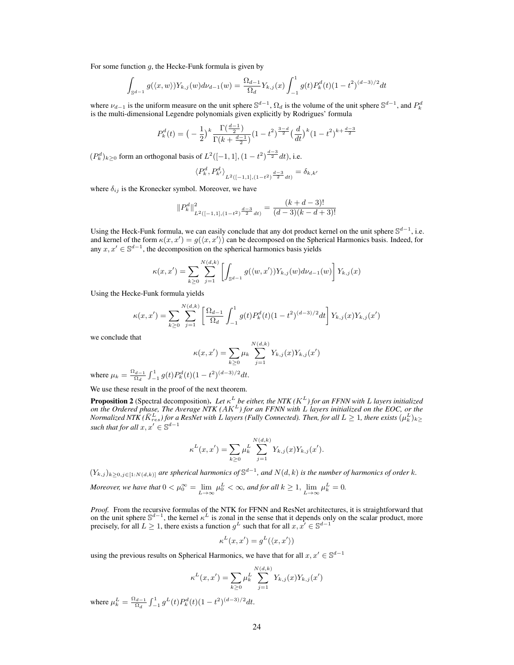For some function  $q$ , the Hecke-Funk formula is given by

 $\cdot$ 

$$
\int_{\mathbb{S}^{d-1}} g(\langle x, w \rangle) Y_{k,j}(w) d\nu_{d-1}(w) = \frac{\Omega_{d-1}}{\Omega_d} Y_{k,j}(x) \int_{-1}^1 g(t) P_k^d(t) (1-t^2)^{(d-3)/2} dt
$$

where  $\nu_{d-1}$  is the uniform measure on the unit sphere  $\mathbb{S}^{d-1}$ ,  $\Omega_d$  is the volume of the unit sphere  $\mathbb{S}^{d-1}$ , and  $P_k^d$ is the multi-dimensional Legendre polynomials given explicitly by Rodrigues' formula

$$
P_k^d(t) = \left(-\frac{1}{2}\right)^k \frac{\Gamma(\frac{d-1}{2})}{\Gamma(k + \frac{d-1}{2})} \left(1 - t^2\right)^{\frac{3-d}{2}} \left(\frac{d}{dt}\right)^k \left(1 - t^2\right)^{k + \frac{d-3}{2}}
$$

 $(P_k^d)_{k \geq 0}$  form an orthogonal basis of  $L^2([-1, 1], (1 - t^2)^{\frac{d-3}{2}} dt)$ , i.e.

$$
\langle P_k^d, P_{k'}^d \rangle_{L^2([-1,1], (1-t^2)^{\frac{d-3}{2}} dt)} = \delta_{k,k'}
$$

where  $\delta_{ij}$  is the Kronecker symbol. Moreover, we have

$$
||P_k^d||^2_{L^2([-1,1],(1-t^2)^{\frac{d-3}{2}}dt)} = \frac{(k+d-3)!}{(d-3)(k-d+3)!}
$$

Using the Heck-Funk formula, we can easily conclude that any dot product kernel on the unit sphere  $\mathbb{S}^{d-1}$ , i.e. and kernel of the form  $\kappa(x, x') = g(\langle x, x' \rangle)$  can be decomposed on the Spherical Harmonics basis. Indeed, for any  $x, x' \in \mathbb{S}^{d-1}$ , the decomposition on the spherical harmonics basis yields

$$
\kappa(x, x') = \sum_{k \ge 0} \sum_{j=1}^{N(d,k)} \left[ \int_{\mathbb{S}^{d-1}} g(\langle w, x' \rangle) Y_{k,j}(w) d\nu_{d-1}(w) \right] Y_{k,j}(x)
$$

Using the Hecke-Funk formula yields

$$
\kappa(x, x') = \sum_{k \ge 0} \sum_{j=1}^{N(d,k)} \left[ \frac{\Omega_{d-1}}{\Omega_d} \int_{-1}^1 g(t) P_k^d(t) (1-t^2)^{(d-3)/2} dt \right] Y_{k,j}(x) Y_{k,j}(x')
$$

we conclude that

$$
\kappa(x, x') = \sum_{k \ge 0} \mu_k \sum_{j=1}^{N(d,k)} Y_{k,j}(x) Y_{k,j}(x')
$$

where  $\mu_k = \frac{\Omega_{d-1}}{\Omega_k}$  $\frac{d_{d-1}}{\Omega_d} \int_{-1}^1 g(t) P_k^d(t) (1-t^2)^{(d-3)/2} dt.$ 

We use these result in the proof of the next theorem.

**Proposition 2** (Spectral decomposition). Let  $\kappa^L$  be either, the NTK ( $K^L$ ) for an FFNN with L layers initialized on the Ordered phase, The Average NTK (AK<sup>L</sup>) for an FFNN with L layers initialized on the EOC, or the<br>Normalized NTK ( $\bar{K}^L_{res}$ ) for a ResNet with L layers (Fully Connected). Then, for all  $L \geq 1$ , there exists  $(\mu_k^$ *such that for all*  $x, x' \in \mathbb{S}^{d-1}$ 

$$
\kappa^{L}(x, x') = \sum_{k \geq 0} \mu_k^{L} \sum_{j=1}^{N(d,k)} Y_{k,j}(x) Y_{k,j}(x').
$$

 $(Y_{k,j})_{k\geq 0,j\in[1:N(d,k)]}$  are spherical harmonics of  $\mathbb{S}^{d-1}$ , and  $N(d,k)$  is the number of harmonics of order k. *Moreover, we have that*  $0 < \mu_0^{\infty} = \lim_{L \to \infty} \mu_0^L < \infty$ , and for all  $k \ge 1$ ,  $\lim_{L \to \infty} \mu_k^L = 0$ .

*Proof.* From the recursive formulas of the NTK for FFNN and ResNet architectures, it is straightforward that on the unit sphere  $\mathbb{S}^{d-1}$ , the kernel  $\kappa^L$  is zonal in the sense that it depends only on the scalar p precisely, for all  $L \geq 1$ , there exists a function  $g^L$  such that for all  $x, x' \in \mathbb{S}^{d-1}$ 

$$
\kappa^L(x, x') = g^L(\langle x, x' \rangle)
$$

using the previous results on Spherical Harmonics, we have that for all  $x, x' \in \mathbb{S}^{d-1}$ 

$$
\kappa^{L}(x, x') = \sum_{k \geq 0} \mu_{k}^{L} \sum_{j=1}^{N(d,k)} Y_{k,j}(x) Y_{k,j}(x')
$$

where  $\mu_k^L = \frac{\Omega_{d-1}}{\Omega_d}$  $\frac{d^2d-1}{\Omega_d} \int_{-1}^1 g^L(t) P_k^d(t) (1-t^2)^{(d-3)/2} dt.$